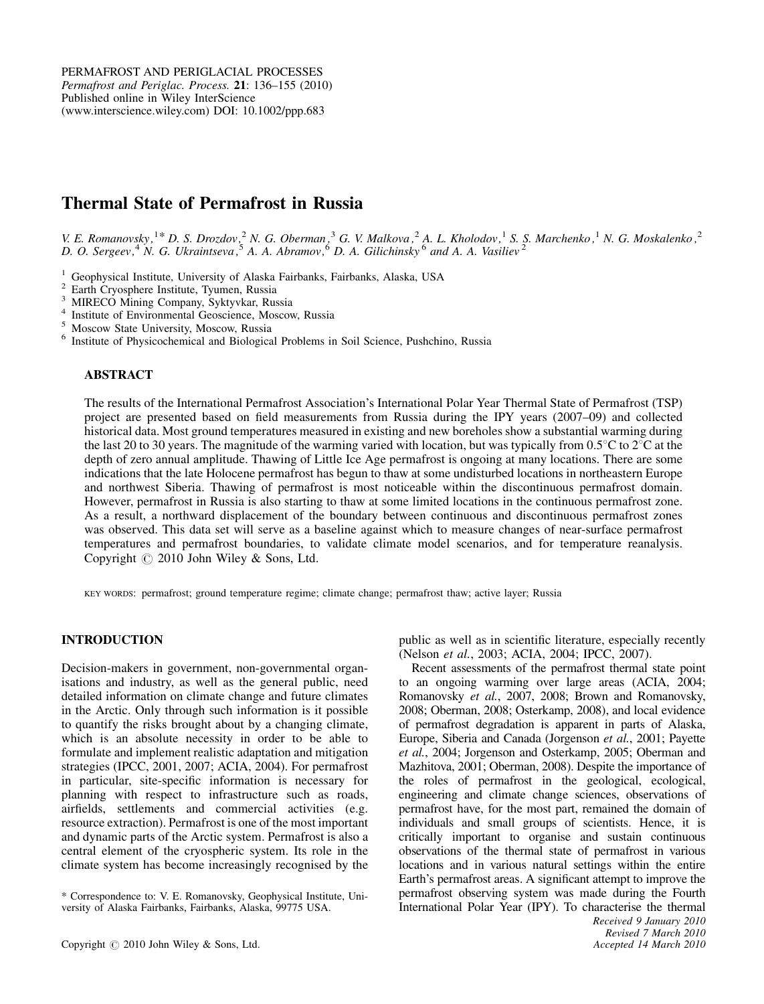# Thermal State of Permafrost in Russia

V. E. Romanovsky,  $1*$  D. S. Drozdov,  $2^2$  N. G. Oberman,  $3^3$  G. V. Malkova,  $2^2$  A. L. Kholodov,  $1^2$  S. S. Marchenko,  $1^2$  N. G. Moskalenko,  $2^2$ D. O. Sergeev,  $4\,$  N. G. Ukraintseva,  $5\,$  A. A. Abramov,  $6\,$  D. A. Gilichinsky  $6\,$  and A. A. Vasiliev  $2\,$ 

<sup>1</sup> Geophysical Institute, University of Alaska Fairbanks, Fairbanks, Alaska, USA<br>
<sup>2</sup> Earth Cryosphere Institute, Tyumen, Russia<br>
<sup>3</sup> MIRECO Mining Company, Syktyvkar, Russia<br>
<sup>4</sup> Institute of Environmental Geoscience, M

#### ABSTRACT

The results of the International Permafrost Association's International Polar Year Thermal State of Permafrost (TSP) project are presented based on field measurements from Russia during the IPY years (2007–09) and collected historical data. Most ground temperatures measured in existing and new boreholes show a substantial warming during the last 20 to 30 years. The magnitude of the warming varied with location, but was typically from  $0.5^{\circ}$ C to  $2^{\circ}$ C at the depth of zero annual amplitude. Thawing of Little Ice Age permafrost is ongoing at many locations. There are some indications that the late Holocene permafrost has begun to thaw at some undisturbed locations in northeastern Europe and northwest Siberia. Thawing of permafrost is most noticeable within the discontinuous permafrost domain. However, permafrost in Russia is also starting to thaw at some limited locations in the continuous permafrost zone. As a result, a northward displacement of the boundary between continuous and discontinuous permafrost zones was observed. This data set will serve as a baseline against which to measure changes of near-surface permafrost temperatures and permafrost boundaries, to validate climate model scenarios, and for temperature reanalysis. Copyright  $\odot$  2010 John Wiley & Sons, Ltd.

KEY WORDS: permafrost; ground temperature regime; climate change; permafrost thaw; active layer; Russia

## INTRODUCTION

Decision-makers in government, non-governmental organisations and industry, as well as the general public, need detailed information on climate change and future climates in the Arctic. Only through such information is it possible to quantify the risks brought about by a changing climate, which is an absolute necessity in order to be able to formulate and implement realistic adaptation and mitigation strategies (IPCC, 2001, 2007; ACIA, 2004). For permafrost in particular, site-specific information is necessary for planning with respect to infrastructure such as roads, airfields, settlements and commercial activities (e.g. resource extraction). Permafrost is one of the most important and dynamic parts of the Arctic system. Permafrost is also a central element of the cryospheric system. Its role in the climate system has become increasingly recognised by the

Copyright  $\odot$  2010 John Wiley & Sons, Ltd.

public as well as in scientific literature, especially recently (Nelson et al., 2003; ACIA, 2004; IPCC, 2007).

Recent assessments of the permafrost thermal state point to an ongoing warming over large areas (ACIA, 2004; Romanovsky et al., 2007, 2008; Brown and Romanovsky, 2008; Oberman, 2008; Osterkamp, 2008), and local evidence of permafrost degradation is apparent in parts of Alaska, Europe, Siberia and Canada (Jorgenson et al., 2001; Payette et al., 2004; Jorgenson and Osterkamp, 2005; Oberman and Mazhitova, 2001; Oberman, 2008). Despite the importance of the roles of permafrost in the geological, ecological, engineering and climate change sciences, observations of permafrost have, for the most part, remained the domain of individuals and small groups of scientists. Hence, it is critically important to organise and sustain continuous observations of the thermal state of permafrost in various locations and in various natural settings within the entire Earth's permafrost areas. A significant attempt to improve the permafrost observing system was made during the Fourth International Polar Year (IPY). To characterise the thermal

<sup>\*</sup> Correspondence to: V. E. Romanovsky, Geophysical Institute, University of Alaska Fairbanks, Fairbanks, Alaska, 99775 USA.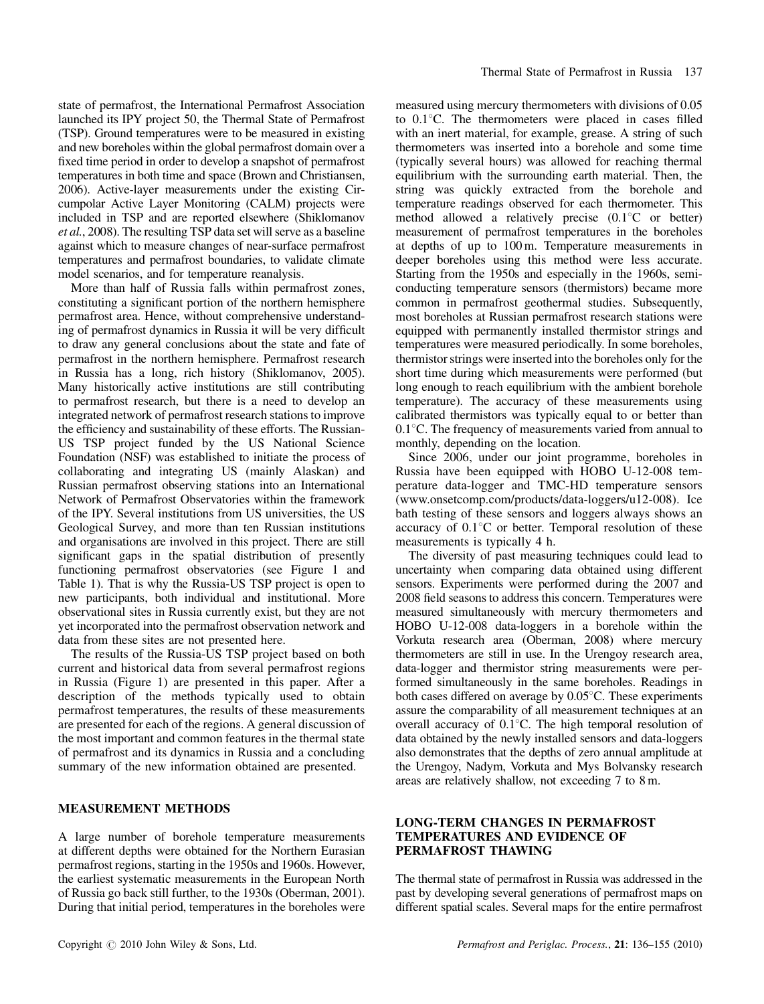state of permafrost, the International Permafrost Association launched its IPY project 50, the Thermal State of Permafrost (TSP). Ground temperatures were to be measured in existing and new boreholes within the global permafrost domain over a fixed time period in order to develop a snapshot of permafrost temperatures in both time and space (Brown and Christiansen, 2006). Active-layer measurements under the existing Circumpolar Active Layer Monitoring (CALM) projects were included in TSP and are reported elsewhere (Shiklomanov et al., 2008). The resulting TSP data set will serve as a baseline against which to measure changes of near-surface permafrost temperatures and permafrost boundaries, to validate climate model scenarios, and for temperature reanalysis.

More than half of Russia falls within permafrost zones, constituting a significant portion of the northern hemisphere permafrost area. Hence, without comprehensive understanding of permafrost dynamics in Russia it will be very difficult to draw any general conclusions about the state and fate of permafrost in the northern hemisphere. Permafrost research in Russia has a long, rich history (Shiklomanov, 2005). Many historically active institutions are still contributing to permafrost research, but there is a need to develop an integrated network of permafrost research stations to improve the efficiency and sustainability of these efforts. The Russian-US TSP project funded by the US National Science Foundation (NSF) was established to initiate the process of collaborating and integrating US (mainly Alaskan) and Russian permafrost observing stations into an International Network of Permafrost Observatories within the framework of the IPY. Several institutions from US universities, the US Geological Survey, and more than ten Russian institutions and organisations are involved in this project. There are still significant gaps in the spatial distribution of presently functioning permafrost observatories (see Figure 1 and Table 1). That is why the Russia-US TSP project is open to new participants, both individual and institutional. More observational sites in Russia currently exist, but they are not yet incorporated into the permafrost observation network and data from these sites are not presented here.

The results of the Russia-US TSP project based on both current and historical data from several permafrost regions in Russia (Figure 1) are presented in this paper. After a description of the methods typically used to obtain permafrost temperatures, the results of these measurements are presented for each of the regions. A general discussion of the most important and common features in the thermal state of permafrost and its dynamics in Russia and a concluding summary of the new information obtained are presented.

#### MEASUREMENT METHODS

A large number of borehole temperature measurements at different depths were obtained for the Northern Eurasian permafrost regions, starting in the 1950s and 1960s. However, the earliest systematic measurements in the European North of Russia go back still further, to the 1930s (Oberman, 2001). During that initial period, temperatures in the boreholes were

measured using mercury thermometers with divisions of 0.05 to 0.1°C. The thermometers were placed in cases filled with an inert material, for example, grease. A string of such thermometers was inserted into a borehole and some time (typically several hours) was allowed for reaching thermal equilibrium with the surrounding earth material. Then, the string was quickly extracted from the borehole and temperature readings observed for each thermometer. This method allowed a relatively precise  $(0.1^{\circ}C)$  or better) measurement of permafrost temperatures in the boreholes at depths of up to 100 m. Temperature measurements in deeper boreholes using this method were less accurate. Starting from the 1950s and especially in the 1960s, semiconducting temperature sensors (thermistors) became more common in permafrost geothermal studies. Subsequently, most boreholes at Russian permafrost research stations were equipped with permanently installed thermistor strings and temperatures were measured periodically. In some boreholes, thermistor strings were inserted into the boreholes only for the short time during which measurements were performed (but long enough to reach equilibrium with the ambient borehole temperature). The accuracy of these measurements using calibrated thermistors was typically equal to or better than  $0.1^{\circ}$ C. The frequency of measurements varied from annual to monthly, depending on the location.

Since 2006, under our joint programme, boreholes in Russia have been equipped with HOBO U-12-008 temperature data-logger and TMC-HD temperature sensors (www.onsetcomp.com/products/data-loggers/u12-008). Ice bath testing of these sensors and loggers always shows an accuracy of  $0.1^{\circ}$ C or better. Temporal resolution of these measurements is typically 4 h.

The diversity of past measuring techniques could lead to uncertainty when comparing data obtained using different sensors. Experiments were performed during the 2007 and 2008 field seasons to address this concern. Temperatures were measured simultaneously with mercury thermometers and HOBO U-12-008 data-loggers in a borehole within the Vorkuta research area (Oberman, 2008) where mercury thermometers are still in use. In the Urengoy research area, data-logger and thermistor string measurements were performed simultaneously in the same boreholes. Readings in both cases differed on average by  $0.05^{\circ}$ C. These experiments assure the comparability of all measurement techniques at an overall accuracy of  $0.1^{\circ}$ C. The high temporal resolution of data obtained by the newly installed sensors and data-loggers also demonstrates that the depths of zero annual amplitude at the Urengoy, Nadym, Vorkuta and Mys Bolvansky research areas are relatively shallow, not exceeding 7 to 8 m.

## LONG-TERM CHANGES IN PERMAFROST TEMPERATURES AND EVIDENCE OF PERMAFROST THAWING

The thermal state of permafrost in Russia was addressed in the past by developing several generations of permafrost maps on different spatial scales. Several maps for the entire permafrost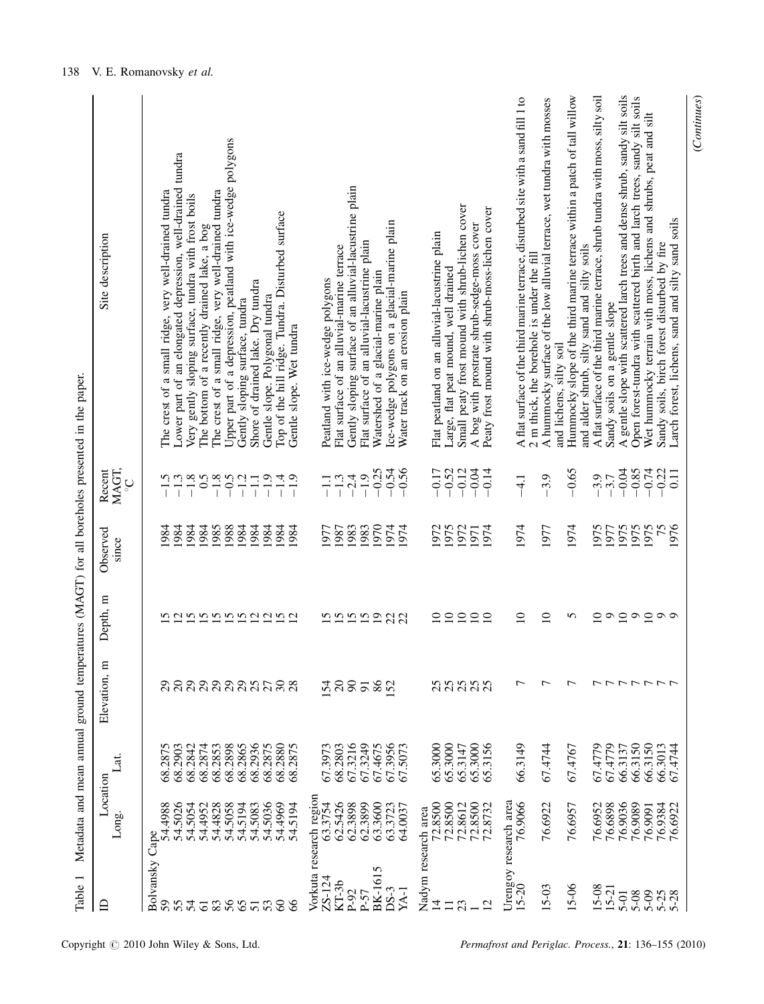| $\overline{ }$<br>Table               |                                    |                    |                      |                    |                   |                        | Metadata and mean annual ground temperatures (MAGT) for all boreholes presented in the paper.                                                      |
|---------------------------------------|------------------------------------|--------------------|----------------------|--------------------|-------------------|------------------------|----------------------------------------------------------------------------------------------------------------------------------------------------|
| 白                                     | Location<br>Long.                  | i<br>S             | Elevation, m         | Depth, m           | Observed<br>since | MAGT,<br>Recent<br>ပ္ပ | Site description                                                                                                                                   |
| Bolvansky Cape<br>59<br>55            | 54.5026<br>54.4988                 | 68.2875<br>68.2903 | $\frac{2}{20}$       | <b>Sannangagna</b> | 984<br>.984       | $-1.5$<br>-1.3         | The crest of a small ridge, very well-drained tundra                                                                                               |
| 54                                    | 54.5054                            | 68.2842            |                      |                    | 984               | $-1.8$                 | Lower part of an elongated depression, well-drained tundra<br>Very gently sloping surface, tundra with frost boils                                 |
| $\overline{61}$                       | 54.4952                            | 68.2874            |                      |                    | 1984              | $-1.8$                 | The bottom of a recently drained lake, a bog                                                                                                       |
| 83                                    | 54.4828                            | 68.2853            |                      |                    | 1985              |                        | The crest of a small ridge, very well-drained tundra                                                                                               |
|                                       | 54.5058                            | 68.2898            |                      |                    | 1988              | $-0.5$                 | Upper part of a depression, peatland with ice-wedge polygons                                                                                       |
| 65                                    | 54.5194                            | 68.2865            |                      |                    | 1984              | $-1.2$                 | Gently sloping surface, tundra                                                                                                                     |
| $\overline{51}$                       | 54.5036<br>54.5083                 | 68.2936<br>68.2875 |                      |                    | 1984<br>1984      | $-1.9$<br>$-1.1$       | Shore of drained lake. Dry tundra<br>Gentle slope. Polygonal tundra                                                                                |
| $53\,$                                | 54.4969                            | 68.2880            | aaaaantaa            |                    | 1984              | $-1.4$                 | Top of the hill ridge. Tundra. Disturbed surface                                                                                                   |
| $\delta$                              | 54.5194                            | 68.2875            |                      |                    | 984               | $-1.9$                 | Gentle slope. Wet tundra                                                                                                                           |
| ZS-124                                | Vorkuta research region<br>63.3754 | 67.3973            |                      |                    | 1977              |                        | Peatland with ice-wedge polygons                                                                                                                   |
| $KT-3b$                               | 62.5426                            | 68.2803            | 54                   |                    | 1987              | $-1.3$                 | Flat surface of an alluvial-marine terrace                                                                                                         |
| P-92                                  | 62.3898                            | 67.3216            | $\infty$             | 55559              | 1983              | $-2.4$                 | Gently sloping surface of an alluvial-lacustrine plain                                                                                             |
| $P-57$                                | 62.3899                            | 67.3249            | $\overline{5}$       |                    | 1983              | $-1.9$                 | Flat surface of an alluvial-lacustrine plain                                                                                                       |
| BK-1615<br>DS-3                       | 63.3600<br>63.3723                 | 67.4675<br>67.3956 | 86<br>$\overline{S}$ |                    | 0.61<br>1974      | $-0.25$<br>$-0.54$     | Ice-wedge polygons on a glacial-marine plain<br>Watershed of a glacial-marine plain                                                                |
| YA-1                                  | 64.0037                            | 67.5073            |                      | 22                 | 974               | $-0.56$                | Water track on an erosion plain                                                                                                                    |
| Nadym research area<br>$\overline{1}$ | 72.8500                            | 65.3000            |                      | $\supseteq$        | 972               | $-0.17$                | Flat peatland on an alluvial-lacustrine plain                                                                                                      |
| 23<br>$\Box$                          | 72.8500<br>72.8612                 | 65.3000<br>65.3147 |                      | $\overline{10}$    | 1975<br>1972      | $-0.52$<br>$-0.12$     | Small peaty frost mound with shrub-lichen cover<br>Large, flat peat mound, well drained                                                            |
|                                       | 72.8500                            | 65.3000            | 88888                | $\frac{10}{10}$    | 1971              | $-0.04$                | A bog with prostrate shrub-sedge-moss cover                                                                                                        |
| 12                                    | 72.8732                            | 65.3156            |                      | $\overline{10}$    | 974               | $-0.14$                | Peaty frost mound with shrub-moss-lichen cover                                                                                                     |
| Urengoy research area<br>$15 - 20$    | 76.9066                            | 66.3149            | ↽                    | $\overline{10}$    | 1974              | $-4.1$                 | A flat surface of the third marine terrace, disturbed site with a sand fill 1 to                                                                   |
| 15-03                                 | 76.6922                            | 67.4744            | ┍                    | $\supseteq$        | 1977              | $-3.9$                 | A hummocky surface of the low alluvial terrace, wet tundra with mosses<br>2 m thick, the borehole is under the fill                                |
| $-5 - 06$                             | 76.6957                            | 67.4767            | ↽                    | 5                  | 1974              | $-0.65$                | Hummocky slope of the third marine terrace within a patch of tall willow<br>and alder shrub, silty sand and silty soils<br>and lichens, silty soil |
| 15-08                                 | 76.6952                            | 67.4779            |                      | $\overline{10}$    | 1975              | $-3.9$                 | A flat surface of the third marine terrace, shrub tundra with moss, silty soil                                                                     |
| $15 - 21$                             | 76.6898                            | 67.4779            |                      |                    | 1977              | $-3.7$                 | Sandy soils on a gentle slope                                                                                                                      |
| 5-01                                  | 76.9036                            | 66.3137            |                      |                    | 1975              | $-0.04$                | A gentle slope with scattered larch trees and dense shrub, sandy silt soils                                                                        |
| $5 - 09$<br>5-08                      | 76.9089<br>76.9091                 | 66.3150<br>66.3150 | ファファファフ              | 0.202              | 1975<br>1975      | $-0.85$<br>$-0.74$     | Open forest-tundra with scattered birth and larch trees, sandy silt soils<br>Wet hummocky terrain with moss, lichens and shrubs, peat and silt     |
|                                       | 76.9384                            | 66.3013            |                      |                    |                   | $-0.22$                | Sandy soils, birch forest disturbed by fire                                                                                                        |
| $5 - 25$<br>$5 - 28$                  | 76.6922                            | 67.4744            |                      | $\circ$            | 75<br>1976        | 0.11                   | Larch forest, lichens, sand and silty sand soils                                                                                                   |

(Continues)

 $(Continuous)$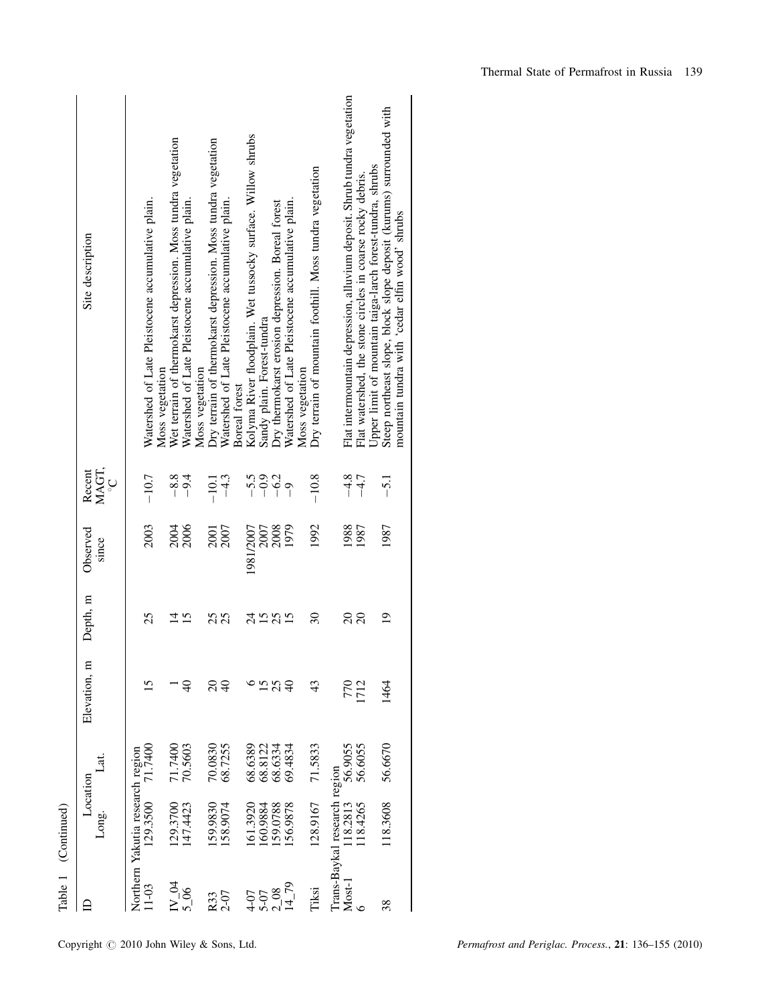|                     | Site description<br>MAGT,<br>Recent<br>ပ္င | Watershed of Late Pleistocene accumulative plain.<br>Moss vegetation<br>$-10.7$ | Wet terrain of thermokarst depression. Moss tundra vegetation<br>Watershed of Late Pleistocene accumulative plain.<br>$-8.8$<br>$-9.4$ | Dry terrain of thermokarst depression. Moss tundra vegetation<br>Watershed of Late Pleistocene accumulative plain.<br>Moss vegetation<br>Boreal forest<br>$-4.3$<br>$-10.1$ | Kolyma River floodplain. Wet tussocky surface. Willow shrubs<br>Sandy plain. Forest-tundra<br>$-0.9$<br>$-5.5$ | Watershed of Late Pleistocene accumulative plain.<br>Dry thermokarst erosion depression. Boreal forest<br>$-6.2$<br>$\overline{0}$ | Dry terrain of mountain foothill. Moss tundra vegetation<br>Moss vegetation<br>$-10.8$ | Flat intermountain depression, alluvium deposit. Shrub tundra vegetation<br>Flat watershed, the stone circles in coarse rocky debris.<br>$-4.8$<br>$-4.7$ | Steep northeast slope, block slope deposit (kurums) surrounded with<br>Upper limit of mountain taiga-larch forest-tundra, shrubs<br>mountain tundra with 'cedar elfin wood' shrubs<br>$-5.1$ |
|---------------------|--------------------------------------------|---------------------------------------------------------------------------------|----------------------------------------------------------------------------------------------------------------------------------------|-----------------------------------------------------------------------------------------------------------------------------------------------------------------------------|----------------------------------------------------------------------------------------------------------------|------------------------------------------------------------------------------------------------------------------------------------|----------------------------------------------------------------------------------------|-----------------------------------------------------------------------------------------------------------------------------------------------------------|----------------------------------------------------------------------------------------------------------------------------------------------------------------------------------------------|
|                     | Observed<br>since                          | 2003                                                                            | 2006<br>2004                                                                                                                           | 2007<br><b>2001</b>                                                                                                                                                         | 1981/2007<br>2007                                                                                              | 1979<br>2008                                                                                                                       | 1992                                                                                   | 1988<br>1987                                                                                                                                              | 1987                                                                                                                                                                                         |
|                     | Depth, m                                   | 25                                                                              | $\overline{4}$<br>$\overline{15}$                                                                                                      | 25<br>25                                                                                                                                                                    | 24<br>15 <sub>25</sub>                                                                                         | 15                                                                                                                                 | $\overline{30}$                                                                        | $\Omega$<br>$\overline{c}$                                                                                                                                | $\overline{19}$                                                                                                                                                                              |
|                     | Elevation, m                               | 15                                                                              | ₽,                                                                                                                                     | $\Omega$<br>40                                                                                                                                                              | 15                                                                                                             | 25<br>$\theta$                                                                                                                     | 43                                                                                     | 1712<br>770                                                                                                                                               | 1464                                                                                                                                                                                         |
|                     | .<br>3t                                    | 71.7400                                                                         | 70.5603<br>71.7400                                                                                                                     | 68.7255<br>70.0830                                                                                                                                                          | 68.6389<br>68.8122                                                                                             | 69.4834<br>68.6334                                                                                                                 | 71.5833                                                                                | 56.6055<br>56.9055                                                                                                                                        | 56.6670                                                                                                                                                                                      |
| Table 1 (Continued) | Location<br>Long.                          | Northern Yakutia research region<br>129.3500                                    | 147.4423<br>.29.3700                                                                                                                   | 58.9074<br>59.9830                                                                                                                                                          | 161.3920<br>60.9884                                                                                            | 56.9878<br>59.0788                                                                                                                 | 128.9167                                                                               | Trans-Baykal research region<br>18.4265<br>118.2813                                                                                                       | 118.3608                                                                                                                                                                                     |
|                     |                                            | $11-03$                                                                         | $\frac{\text{IV}}{\text{5}\cdot\text{06}}$ M                                                                                           | 2-07<br>R33                                                                                                                                                                 | $4 - 07$<br>5-07                                                                                               | 1479<br>208                                                                                                                        | Tiksi                                                                                  | Most-1                                                                                                                                                    | 38                                                                                                                                                                                           |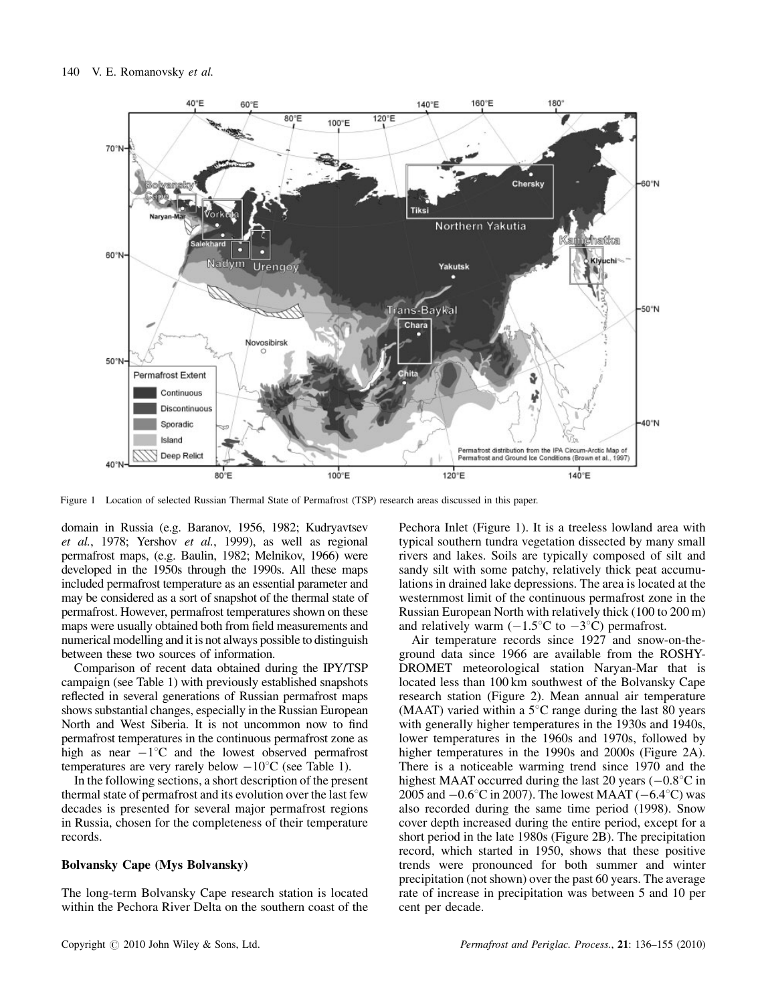

Figure 1 Location of selected Russian Thermal State of Permafrost (TSP) research areas discussed in this paper.

domain in Russia (e.g. Baranov, 1956, 1982; Kudryavtsev et al., 1978; Yershov et al., 1999), as well as regional permafrost maps, (e.g. Baulin, 1982; Melnikov, 1966) were developed in the 1950s through the 1990s. All these maps included permafrost temperature as an essential parameter and may be considered as a sort of snapshot of the thermal state of permafrost. However, permafrost temperatures shown on these maps were usually obtained both from field measurements and numerical modelling and it is not always possible to distinguish between these two sources of information.

Comparison of recent data obtained during the IPY/TSP campaign (see Table 1) with previously established snapshots reflected in several generations of Russian permafrost maps shows substantial changes, especially in the Russian European North and West Siberia. It is not uncommon now to find permafrost temperatures in the continuous permafrost zone as high as near  $-1^{\circ}$ C and the lowest observed permafrost temperatures are very rarely below  $-10^{\circ}$ C (see Table 1).

In the following sections, a short description of the present thermal state of permafrost and its evolution over the last few decades is presented for several major permafrost regions in Russia, chosen for the completeness of their temperature records.

#### Bolvansky Cape (Mys Bolvansky)

The long-term Bolvansky Cape research station is located within the Pechora River Delta on the southern coast of the

Pechora Inlet (Figure 1). It is a treeless lowland area with typical southern tundra vegetation dissected by many small rivers and lakes. Soils are typically composed of silt and sandy silt with some patchy, relatively thick peat accumulations in drained lake depressions. The area is located at the westernmost limit of the continuous permafrost zone in the Russian European North with relatively thick (100 to 200 m) and relatively warm  $(-1.5^{\circ}\text{C})$  to  $-3^{\circ}\text{C}$ ) permafrost.

Air temperature records since 1927 and snow-on-theground data since 1966 are available from the ROSHY-DROMET meteorological station Naryan-Mar that is located less than 100 km southwest of the Bolvansky Cape research station (Figure 2). Mean annual air temperature (MAAT) varied within a  $5^{\circ}$ C range during the last 80 years with generally higher temperatures in the 1930s and 1940s, lower temperatures in the 1960s and 1970s, followed by higher temperatures in the 1990s and 2000s (Figure 2A). There is a noticeable warming trend since 1970 and the highest MAAT occurred during the last 20 years  $(-0.8^{\circ}\text{C})$  in 2005 and  $-0.6^{\circ}$ C in 2007). The lowest MAAT ( $-6.4^{\circ}$ C) was also recorded during the same time period (1998). Snow cover depth increased during the entire period, except for a short period in the late 1980s (Figure 2B). The precipitation record, which started in 1950, shows that these positive trends were pronounced for both summer and winter precipitation (not shown) over the past 60 years. The average rate of increase in precipitation was between 5 and 10 per cent per decade.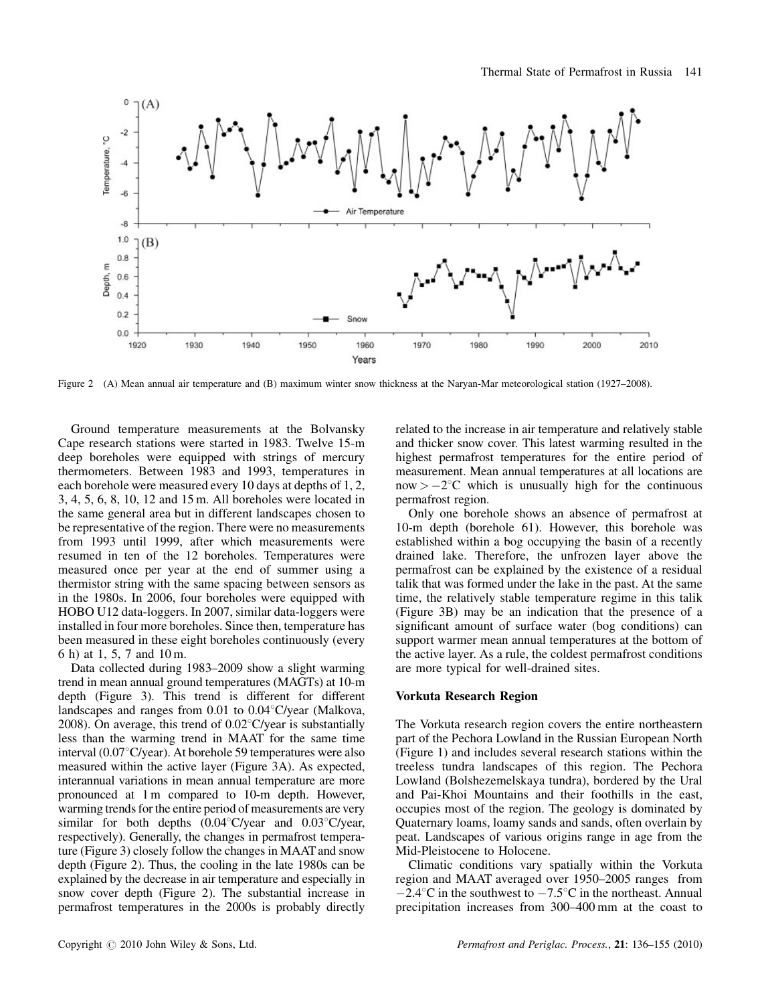

Figure 2 (A) Mean annual air temperature and (B) maximum winter snow thickness at the Naryan-Mar meteorological station (1927–2008).

Ground temperature measurements at the Bolvansky Cape research stations were started in 1983. Twelve 15-m deep boreholes were equipped with strings of mercury thermometers. Between 1983 and 1993, temperatures in each borehole were measured every 10 days at depths of 1, 2, 3, 4, 5, 6, 8, 10, 12 and 15 m. All boreholes were located in the same general area but in different landscapes chosen to be representative of the region. There were no measurements from 1993 until 1999, after which measurements were resumed in ten of the 12 boreholes. Temperatures were measured once per year at the end of summer using a thermistor string with the same spacing between sensors as in the 1980s. In 2006, four boreholes were equipped with HOBO U12 data-loggers. In 2007, similar data-loggers were installed in four more boreholes. Since then, temperature has been measured in these eight boreholes continuously (every 6 h) at 1, 5, 7 and 10 m.

Data collected during 1983–2009 show a slight warming trend in mean annual ground temperatures (MAGTs) at 10-m depth (Figure 3). This trend is different for different landscapes and ranges from  $0.01$  to  $0.04^{\circ}$ C/year (Malkova, 2008). On average, this trend of  $0.02^{\circ}$ C/year is substantially less than the warming trend in MAAT for the same time interval  $(0.07^{\circ}C/\text{year})$ . At borehole 59 temperatures were also measured within the active layer (Figure 3A). As expected, interannual variations in mean annual temperature are more pronounced at 1 m compared to 10-m depth. However, warming trends for the entire period of measurements are very similar for both depths  $(0.04^{\circ}C/\text{year}$  and  $0.03^{\circ}C/\text{year}$ , respectively). Generally, the changes in permafrost temperature (Figure 3) closely follow the changes in MAAT and snow depth (Figure 2). Thus, the cooling in the late 1980s can be explained by the decrease in air temperature and especially in snow cover depth (Figure 2). The substantial increase in permafrost temperatures in the 2000s is probably directly related to the increase in air temperature and relatively stable and thicker snow cover. This latest warming resulted in the highest permafrost temperatures for the entire period of measurement. Mean annual temperatures at all locations are  $now > -2^{\circ}C$  which is unusually high for the continuous permafrost region.

Only one borehole shows an absence of permafrost at 10-m depth (borehole 61). However, this borehole was established within a bog occupying the basin of a recently drained lake. Therefore, the unfrozen layer above the permafrost can be explained by the existence of a residual talik that was formed under the lake in the past. At the same time, the relatively stable temperature regime in this talik (Figure 3B) may be an indication that the presence of a significant amount of surface water (bog conditions) can support warmer mean annual temperatures at the bottom of the active layer. As a rule, the coldest permafrost conditions are more typical for well-drained sites.

#### Vorkuta Research Region

The Vorkuta research region covers the entire northeastern part of the Pechora Lowland in the Russian European North (Figure 1) and includes several research stations within the treeless tundra landscapes of this region. The Pechora Lowland (Bolshezemelskaya tundra), bordered by the Ural and Pai-Khoi Mountains and their foothills in the east, occupies most of the region. The geology is dominated by Quaternary loams, loamy sands and sands, often overlain by peat. Landscapes of various origins range in age from the Mid-Pleistocene to Holocene.

Climatic conditions vary spatially within the Vorkuta region and MAAT averaged over 1950–2005 ranges from  $-2.4^{\circ}$ C in the southwest to  $-7.5^{\circ}$ C in the northeast. Annual precipitation increases from 300–400 mm at the coast to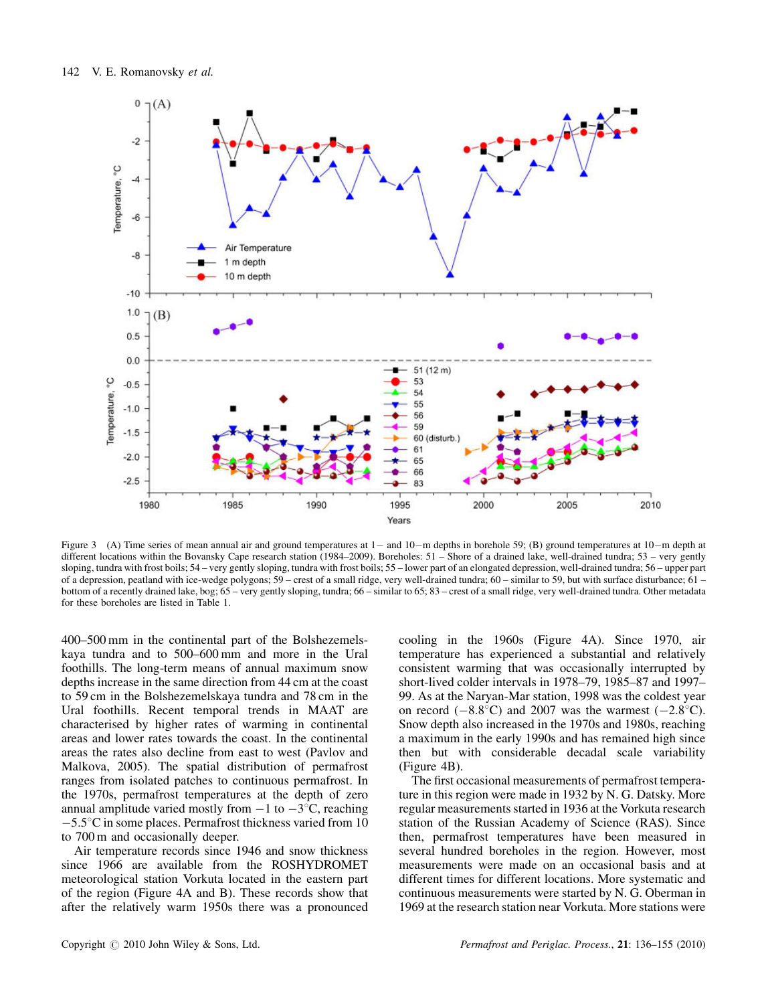

Figure 3 (A) Time series of mean annual air and ground temperatures at  $1-$  and  $10-m$  depths in borehole 59; (B) ground temperatures at  $10-m$  depth at different locations within the Bovansky Cape research station (1984–2009). Boreholes: 51 – Shore of a drained lake, well-drained tundra; 53 – very gently sloping, tundra with frost boils; 54 – very gently sloping, tundra with frost boils; 55 – lower part of an elongated depression, well-drained tundra; 56 – upper part of a depression, peatland with ice-wedge polygons; 59 – crest of a small ridge, very well-drained tundra; 60 – similar to 59, but with surface disturbance; 61 – bottom of a recently drained lake, bog; 65 – very gently sloping, tundra; 66 – similar to 65; 83 – crest of a small ridge, very well-drained tundra. Other metadata for these boreholes are listed in Table 1.

400–500 mm in the continental part of the Bolshezemelskaya tundra and to 500–600 mm and more in the Ural foothills. The long-term means of annual maximum snow depths increase in the same direction from 44 cm at the coast to 59 cm in the Bolshezemelskaya tundra and 78 cm in the Ural foothills. Recent temporal trends in MAAT are characterised by higher rates of warming in continental areas and lower rates towards the coast. In the continental areas the rates also decline from east to west (Pavlov and Malkova, 2005). The spatial distribution of permafrost ranges from isolated patches to continuous permafrost. In the 1970s, permafrost temperatures at the depth of zero annual amplitude varied mostly from  $-1$  to  $-3^{\circ}$ C, reaching  $-5.5^{\circ}$ C in some places. Permafrost thickness varied from 10 to 700 m and occasionally deeper.

Air temperature records since 1946 and snow thickness since 1966 are available from the ROSHYDROMET meteorological station Vorkuta located in the eastern part of the region (Figure 4A and B). These records show that after the relatively warm 1950s there was a pronounced

cooling in the 1960s (Figure 4A). Since 1970, air temperature has experienced a substantial and relatively consistent warming that was occasionally interrupted by short-lived colder intervals in 1978–79, 1985–87 and 1997– 99. As at the Naryan-Mar station, 1998 was the coldest year on record  $(-8.8^{\circ}\text{C})$  and 2007 was the warmest  $(-2.8^{\circ}\text{C})$ . Snow depth also increased in the 1970s and 1980s, reaching a maximum in the early 1990s and has remained high since then but with considerable decadal scale variability (Figure 4B).

The first occasional measurements of permafrost temperature in this region were made in 1932 by N. G. Datsky. More regular measurements started in 1936 at the Vorkuta research station of the Russian Academy of Science (RAS). Since then, permafrost temperatures have been measured in several hundred boreholes in the region. However, most measurements were made on an occasional basis and at different times for different locations. More systematic and continuous measurements were started by N. G. Oberman in 1969 at the research station near Vorkuta. More stations were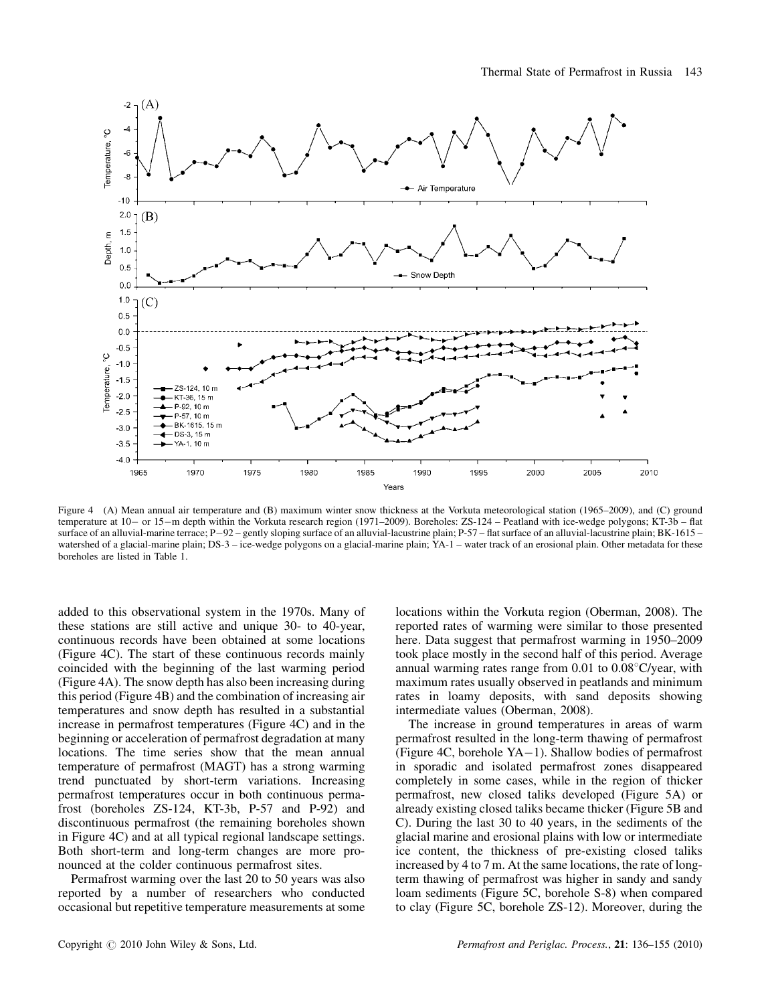

Figure 4 (A) Mean annual air temperature and (B) maximum winter snow thickness at the Vorkuta meteorological station (1965–2009), and (C) ground temperature at 10- or 15-m depth within the Vorkuta research region (1971–2009). Boreholes: ZS-124 – Peatland with ice-wedge polygons; KT-3b – flat surface of an alluvial-marine terrace; P-92 – gently sloping surface of an alluvial-lacustrine plain; P-57 – flat surface of an alluvial-lacustrine plain; BK-1615 – watershed of a glacial-marine plain; DS-3 – ice-wedge polygons on a glacial-marine plain; YA-1 – water track of an erosional plain. Other metadata for these boreholes are listed in Table 1.

added to this observational system in the 1970s. Many of these stations are still active and unique 30- to 40-year, continuous records have been obtained at some locations (Figure 4C). The start of these continuous records mainly coincided with the beginning of the last warming period (Figure 4A). The snow depth has also been increasing during this period (Figure 4B) and the combination of increasing air temperatures and snow depth has resulted in a substantial increase in permafrost temperatures (Figure 4C) and in the beginning or acceleration of permafrost degradation at many locations. The time series show that the mean annual temperature of permafrost (MAGT) has a strong warming trend punctuated by short-term variations. Increasing permafrost temperatures occur in both continuous permafrost (boreholes ZS-124, KT-3b, P-57 and P-92) and discontinuous permafrost (the remaining boreholes shown in Figure 4C) and at all typical regional landscape settings. Both short-term and long-term changes are more pronounced at the colder continuous permafrost sites.

Permafrost warming over the last 20 to 50 years was also reported by a number of researchers who conducted occasional but repetitive temperature measurements at some

locations within the Vorkuta region (Oberman, 2008). The reported rates of warming were similar to those presented here. Data suggest that permafrost warming in 1950–2009 took place mostly in the second half of this period. Average annual warming rates range from  $0.01$  to  $0.08^{\circ}$ C/year, with maximum rates usually observed in peatlands and minimum rates in loamy deposits, with sand deposits showing intermediate values (Oberman, 2008).

The increase in ground temperatures in areas of warm permafrost resulted in the long-term thawing of permafrost (Figure 4C, borehole  $YA-1$ ). Shallow bodies of permafrost in sporadic and isolated permafrost zones disappeared completely in some cases, while in the region of thicker permafrost, new closed taliks developed (Figure 5A) or already existing closed taliks became thicker (Figure 5B and C). During the last 30 to 40 years, in the sediments of the glacial marine and erosional plains with low or intermediate ice content, the thickness of pre-existing closed taliks increased by 4 to 7 m. At the same locations, the rate of longterm thawing of permafrost was higher in sandy and sandy loam sediments (Figure 5C, borehole S-8) when compared to clay (Figure 5C, borehole ZS-12). Moreover, during the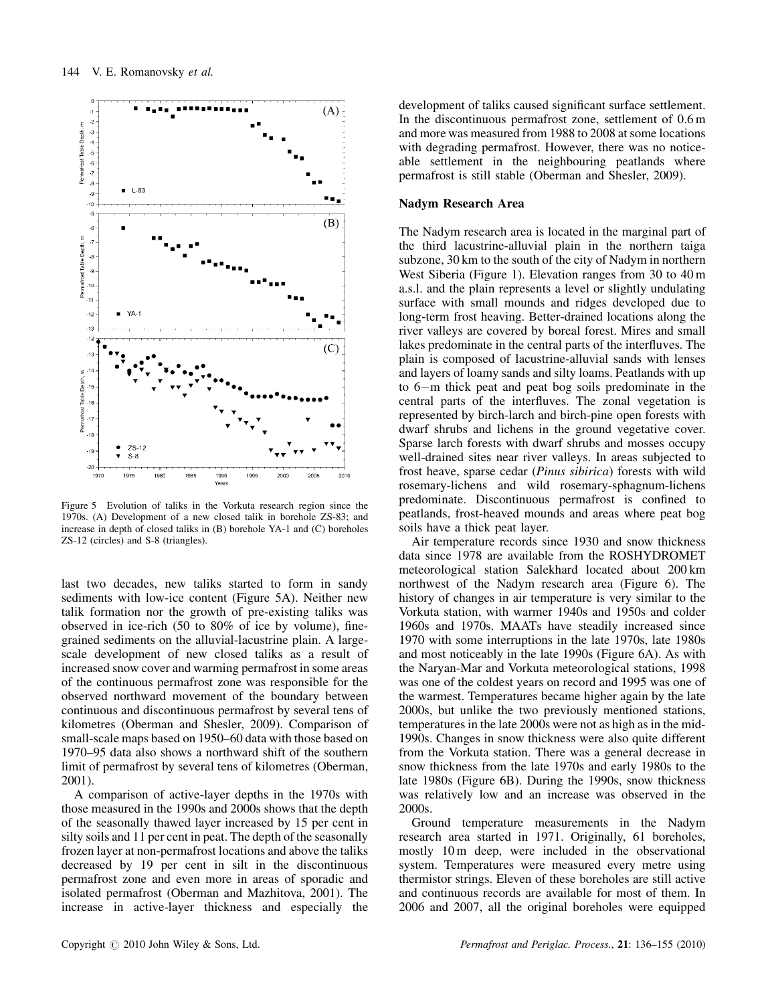

Figure 5 Evolution of taliks in the Vorkuta research region since the 1970s. (A) Development of a new closed talik in borehole ZS-83; and increase in depth of closed taliks in (B) borehole YA-1 and (C) boreholes ZS-12 (circles) and S-8 (triangles).

last two decades, new taliks started to form in sandy sediments with low-ice content (Figure 5A). Neither new talik formation nor the growth of pre-existing taliks was observed in ice-rich (50 to 80% of ice by volume), finegrained sediments on the alluvial-lacustrine plain. A largescale development of new closed taliks as a result of increased snow cover and warming permafrost in some areas of the continuous permafrost zone was responsible for the observed northward movement of the boundary between continuous and discontinuous permafrost by several tens of kilometres (Oberman and Shesler, 2009). Comparison of small-scale maps based on 1950–60 data with those based on 1970–95 data also shows a northward shift of the southern limit of permafrost by several tens of kilometres (Oberman, 2001).

A comparison of active-layer depths in the 1970s with those measured in the 1990s and 2000s shows that the depth of the seasonally thawed layer increased by 15 per cent in silty soils and 11 per cent in peat. The depth of the seasonally frozen layer at non-permafrost locations and above the taliks decreased by 19 per cent in silt in the discontinuous permafrost zone and even more in areas of sporadic and isolated permafrost (Oberman and Mazhitova, 2001). The increase in active-layer thickness and especially the

development of taliks caused significant surface settlement. In the discontinuous permafrost zone, settlement of 0.6 m and more was measured from 1988 to 2008 at some locations with degrading permafrost. However, there was no noticeable settlement in the neighbouring peatlands where permafrost is still stable (Oberman and Shesler, 2009).

#### Nadym Research Area

The Nadym research area is located in the marginal part of the third lacustrine-alluvial plain in the northern taiga subzone, 30 km to the south of the city of Nadym in northern West Siberia (Figure 1). Elevation ranges from 30 to 40 m a.s.l. and the plain represents a level or slightly undulating surface with small mounds and ridges developed due to long-term frost heaving. Better-drained locations along the river valleys are covered by boreal forest. Mires and small lakes predominate in the central parts of the interfluves. The plain is composed of lacustrine-alluvial sands with lenses and layers of loamy sands and silty loams. Peatlands with up to  $6-m$  thick peat and peat bog soils predominate in the central parts of the interfluves. The zonal vegetation is represented by birch-larch and birch-pine open forests with dwarf shrubs and lichens in the ground vegetative cover. Sparse larch forests with dwarf shrubs and mosses occupy well-drained sites near river valleys. In areas subjected to frost heave, sparse cedar (Pinus sibirica) forests with wild rosemary-lichens and wild rosemary-sphagnum-lichens predominate. Discontinuous permafrost is confined to peatlands, frost-heaved mounds and areas where peat bog soils have a thick peat layer.

Air temperature records since 1930 and snow thickness data since 1978 are available from the ROSHYDROMET meteorological station Salekhard located about 200 km northwest of the Nadym research area (Figure 6). The history of changes in air temperature is very similar to the Vorkuta station, with warmer 1940s and 1950s and colder 1960s and 1970s. MAATs have steadily increased since 1970 with some interruptions in the late 1970s, late 1980s and most noticeably in the late 1990s (Figure 6A). As with the Naryan-Mar and Vorkuta meteorological stations, 1998 was one of the coldest years on record and 1995 was one of the warmest. Temperatures became higher again by the late 2000s, but unlike the two previously mentioned stations, temperatures in the late 2000s were not as high as in the mid-1990s. Changes in snow thickness were also quite different from the Vorkuta station. There was a general decrease in snow thickness from the late 1970s and early 1980s to the late 1980s (Figure 6B). During the 1990s, snow thickness was relatively low and an increase was observed in the 2000s.

Ground temperature measurements in the Nadym research area started in 1971. Originally, 61 boreholes, mostly 10 m deep, were included in the observational system. Temperatures were measured every metre using thermistor strings. Eleven of these boreholes are still active and continuous records are available for most of them. In 2006 and 2007, all the original boreholes were equipped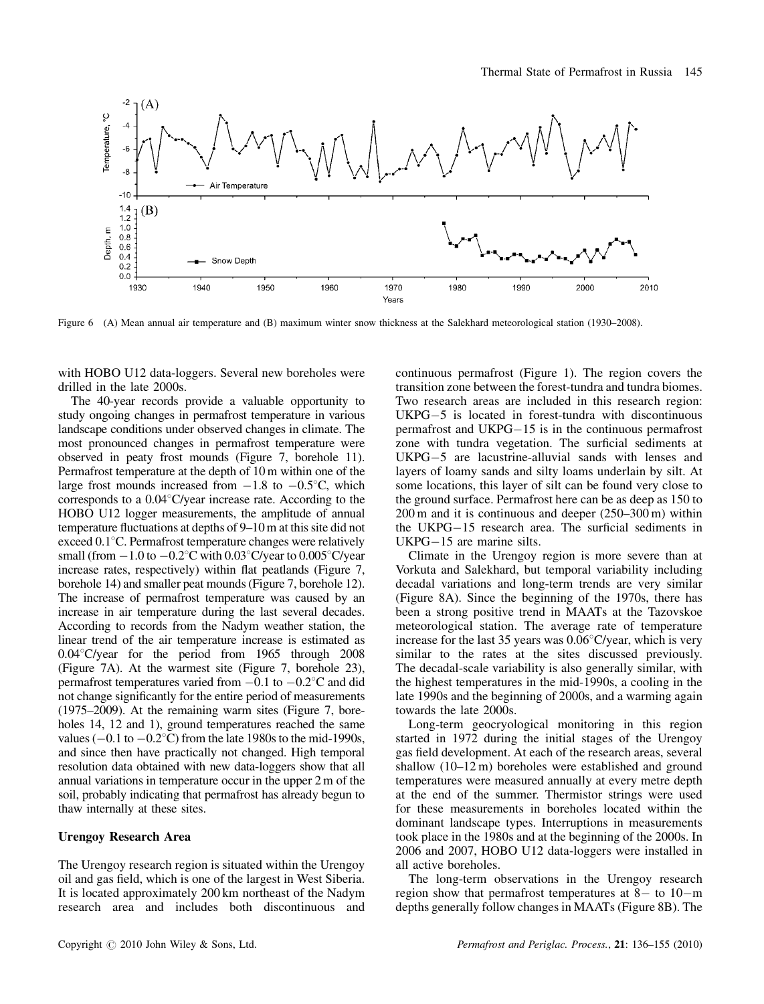

Figure 6 (A) Mean annual air temperature and (B) maximum winter snow thickness at the Salekhard meteorological station (1930–2008).

with HOBO U12 data-loggers. Several new boreholes were drilled in the late 2000s.

The 40-year records provide a valuable opportunity to study ongoing changes in permafrost temperature in various landscape conditions under observed changes in climate. The most pronounced changes in permafrost temperature were observed in peaty frost mounds (Figure 7, borehole 11). Permafrost temperature at the depth of 10 m within one of the large frost mounds increased from  $-1.8$  to  $-0.5^{\circ}C$ , which corresponds to a  $0.04^{\circ}$ C/year increase rate. According to the HOBO U12 logger measurements, the amplitude of annual temperature fluctuations at depths of 9–10 m at this site did not exceed  $0.1^{\circ}$ C. Permafrost temperature changes were relatively small (from  $-1.0$  to  $-0.2^{\circ}$ C with 0.03°C/year to 0.005°C/year increase rates, respectively) within flat peatlands (Figure 7, borehole 14) and smaller peat mounds (Figure 7, borehole 12). The increase of permafrost temperature was caused by an increase in air temperature during the last several decades. According to records from the Nadym weather station, the linear trend of the air temperature increase is estimated as 0.04°C/year for the period from 1965 through 2008 (Figure 7A). At the warmest site (Figure 7, borehole 23), permafrost temperatures varied from  $-0.1$  to  $-0.2^{\circ}$ C and did not change significantly for the entire period of measurements (1975–2009). At the remaining warm sites (Figure 7, boreholes 14, 12 and 1), ground temperatures reached the same values ( $-0.1$  to  $-0.2^{\circ}$ C) from the late 1980s to the mid-1990s, and since then have practically not changed. High temporal resolution data obtained with new data-loggers show that all annual variations in temperature occur in the upper 2 m of the soil, probably indicating that permafrost has already begun to thaw internally at these sites.

#### Urengoy Research Area

The Urengoy research region is situated within the Urengoy oil and gas field, which is one of the largest in West Siberia. It is located approximately 200 km northeast of the Nadym research area and includes both discontinuous and

continuous permafrost (Figure 1). The region covers the transition zone between the forest-tundra and tundra biomes. Two research areas are included in this research region:  $UKPG-5$  is located in forest-tundra with discontinuous permafrost and  $UKPG-15$  is in the continuous permafrost zone with tundra vegetation. The surficial sediments at  $UKPG-5$  are lacustrine-alluvial sands with lenses and layers of loamy sands and silty loams underlain by silt. At some locations, this layer of silt can be found very close to the ground surface. Permafrost here can be as deep as 150 to 200 m and it is continuous and deeper (250–300 m) within the UKPG $-15$  research area. The surficial sediments in  $UKPG-15$  are marine silts.

Climate in the Urengoy region is more severe than at Vorkuta and Salekhard, but temporal variability including decadal variations and long-term trends are very similar (Figure 8A). Since the beginning of the 1970s, there has been a strong positive trend in MAATs at the Tazovskoe meteorological station. The average rate of temperature increase for the last 35 years was  $0.06^{\circ}$ C/year, which is very similar to the rates at the sites discussed previously. The decadal-scale variability is also generally similar, with the highest temperatures in the mid-1990s, a cooling in the late 1990s and the beginning of 2000s, and a warming again towards the late 2000s.

Long-term geocryological monitoring in this region started in 1972 during the initial stages of the Urengoy gas field development. At each of the research areas, several shallow (10–12 m) boreholes were established and ground temperatures were measured annually at every metre depth at the end of the summer. Thermistor strings were used for these measurements in boreholes located within the dominant landscape types. Interruptions in measurements took place in the 1980s and at the beginning of the 2000s. In 2006 and 2007, HOBO U12 data-loggers were installed in all active boreholes.

The long-term observations in the Urengoy research region show that permafrost temperatures at  $8 -$  to  $10 - m$ depths generally follow changes in MAATs (Figure 8B). The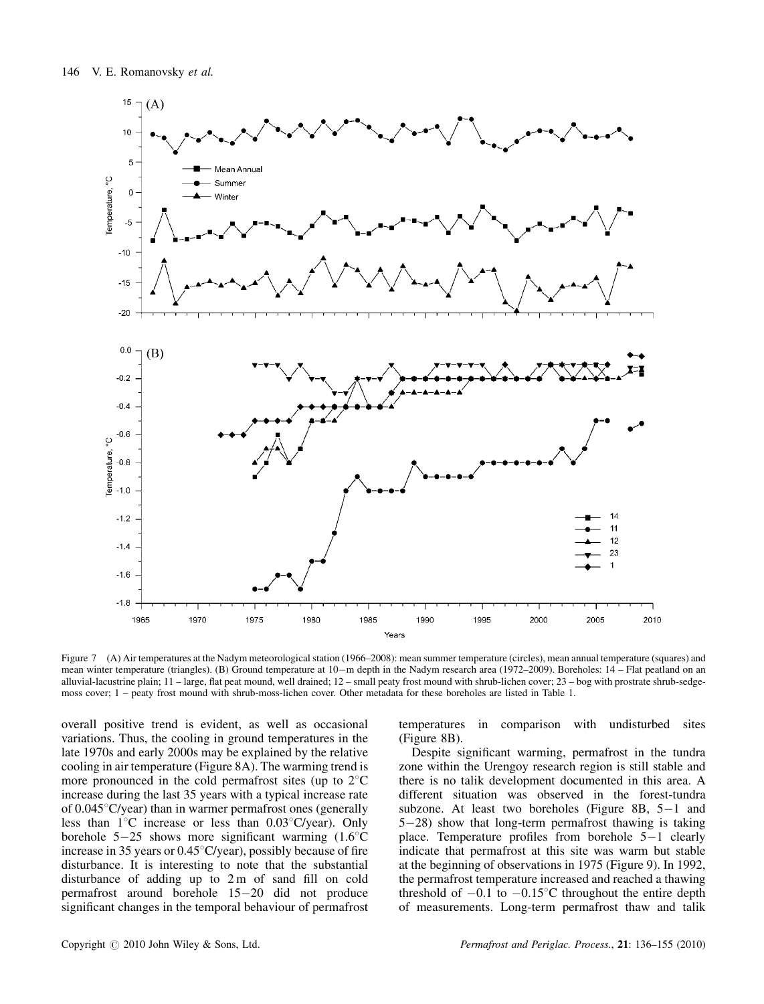

Figure 7 (A) Air temperatures at the Nadym meteorological station (1966–2008): mean summer temperature (circles), mean annual temperature (squares) and mean winter temperature (triangles). (B) Ground temperature at 10-m depth in the Nadym research area (1972–2009). Boreholes: 14 – Flat peatland on an alluvial-lacustrine plain; 11 – large, flat peat mound, well drained; 12 – small peaty frost mound with shrub-lichen cover; 23 – bog with prostrate shrub-sedgemoss cover; 1 – peaty frost mound with shrub-moss-lichen cover. Other metadata for these boreholes are listed in Table 1.

overall positive trend is evident, as well as occasional variations. Thus, the cooling in ground temperatures in the late 1970s and early 2000s may be explained by the relative cooling in air temperature (Figure 8A). The warming trend is more pronounced in the cold permafrost sites (up to  $2^{\circ}$ C increase during the last 35 years with a typical increase rate of  $0.045^{\circ}$ C/year) than in warmer permafrost ones (generally less than  $1^{\circ}$ C increase or less than  $0.03^{\circ}$ C/year). Only borehole  $5-25$  shows more significant warming  $(1.6^{\circ}C)$ increase in 35 years or  $0.45^{\circ}$ C/year), possibly because of fire disturbance. It is interesting to note that the substantial disturbance of adding up to 2 m of sand fill on cold permafrost around borehole  $15-20$  did not produce significant changes in the temporal behaviour of permafrost temperatures in comparison with undisturbed sites (Figure 8B).

Despite significant warming, permafrost in the tundra zone within the Urengoy research region is still stable and there is no talik development documented in this area. A different situation was observed in the forest-tundra subzone. At least two boreholes (Figure 8B,  $5-1$  and  $5-28$ ) show that long-term permafrost thawing is taking place. Temperature profiles from borehole  $5-1$  clearly indicate that permafrost at this site was warm but stable at the beginning of observations in 1975 (Figure 9). In 1992, the permafrost temperature increased and reached a thawing threshold of  $-0.1$  to  $-0.15^{\circ}$ C throughout the entire depth of measurements. Long-term permafrost thaw and talik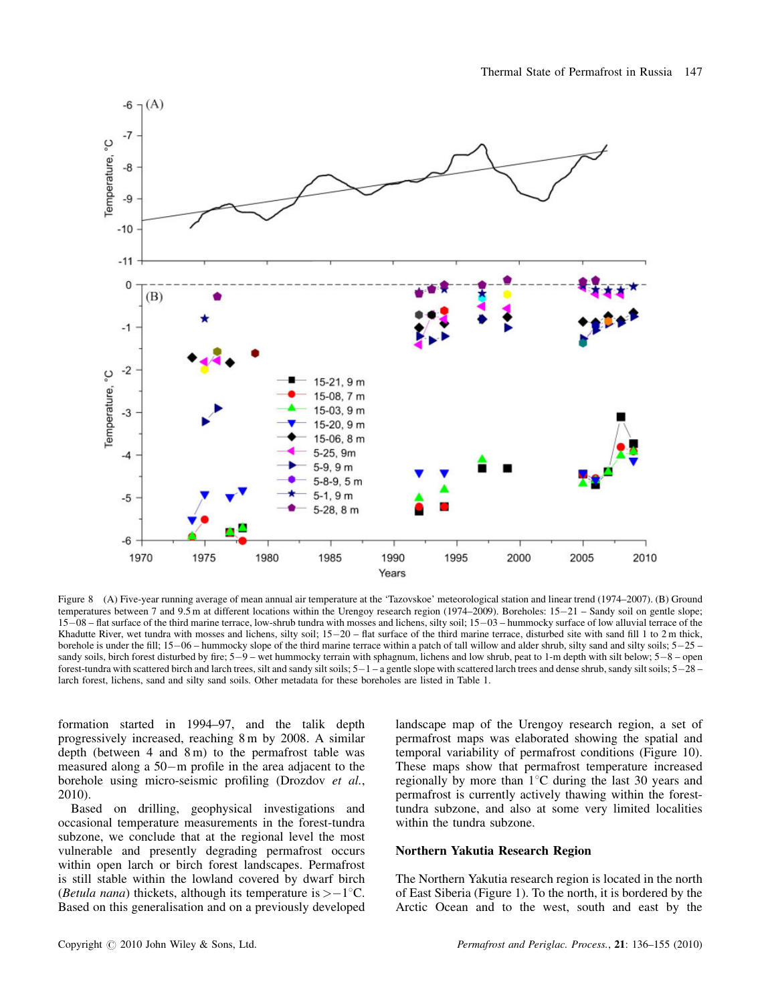

Figure 8 (A) Five-year running average of mean annual air temperature at the 'Tazovskoe' meteorological station and linear trend (1974–2007). (B) Ground temperatures between 7 and 9.5 m at different locations within the Urengoy research region (1974–2009). Boreholes:  $15-21$  – Sandy soil on gentle slope; 1508 – flat surface of the third marine terrace, low-shrub tundra with mosses and lichens, silty soil; 1503 – hummocky surface of low alluvial terrace of the Khadutte River, wet tundra with mosses and lichens, silty soil;  $15-20$  – flat surface of the third marine terrace, disturbed site with sand fill 1 to 2 m thick, borehole is under the fill;  $15-06$  – hummocky slope of the third marine terrace within a patch of tall willow and alder shrub, silty sand and silty soils;  $5-25$  – sandy soils, birch forest disturbed by fire;  $5-9$  – wet hummocky terrain with sphagnum, lichens and low shrub, peat to 1-m depth with silt below;  $5-8$  – open forest-tundra with scattered birch and larch trees, silt and sandy silt soils;  $5-1-$ a gentle slope with scattered larch trees and dense shrub, sandy silt soils;  $5-28$ larch forest, lichens, sand and silty sand soils. Other metadata for these boreholes are listed in Table 1.

formation started in 1994–97, and the talik depth progressively increased, reaching 8 m by 2008. A similar depth (between  $4$  and  $8 \text{ m}$ ) to the permafrost table was measured along a  $50-m$  profile in the area adjacent to the borehole using micro-seismic profiling (Drozdov et al., 2010).

Based on drilling, geophysical investigations and occasional temperature measurements in the forest-tundra subzone, we conclude that at the regional level the most vulnerable and presently degrading permafrost occurs within open larch or birch forest landscapes. Permafrost is still stable within the lowland covered by dwarf birch (*Betula nana*) thickets, although its temperature is  $> -1$ °C. Based on this generalisation and on a previously developed landscape map of the Urengoy research region, a set of permafrost maps was elaborated showing the spatial and temporal variability of permafrost conditions (Figure 10). These maps show that permafrost temperature increased regionally by more than  $1^{\circ}$ C during the last 30 years and permafrost is currently actively thawing within the foresttundra subzone, and also at some very limited localities within the tundra subzone.

### Northern Yakutia Research Region

The Northern Yakutia research region is located in the north of East Siberia (Figure 1). To the north, it is bordered by the Arctic Ocean and to the west, south and east by the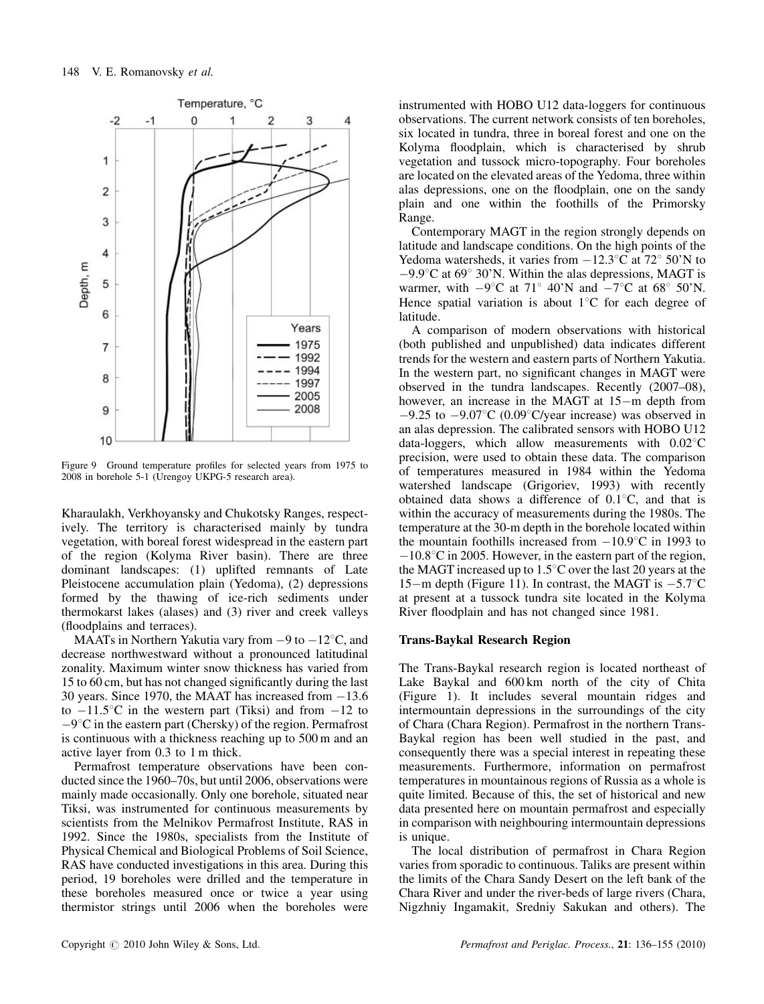

Figure 9 Ground temperature profiles for selected years from 1975 to 2008 in borehole 5-1 (Urengoy UKPG-5 research area).

Kharaulakh, Verkhoyansky and Chukotsky Ranges, respectively. The territory is characterised mainly by tundra vegetation, with boreal forest widespread in the eastern part of the region (Kolyma River basin). There are three dominant landscapes: (1) uplifted remnants of Late Pleistocene accumulation plain (Yedoma), (2) depressions formed by the thawing of ice-rich sediments under thermokarst lakes (alases) and (3) river and creek valleys (floodplains and terraces).

MAATs in Northern Yakutia vary from  $-9$  to  $-12^{\circ}$ C, and decrease northwestward without a pronounced latitudinal zonality. Maximum winter snow thickness has varied from 15 to 60 cm, but has not changed significantly during the last 30 years. Since 1970, the MAAT has increased from  $-13.6$ to  $-11.5^{\circ}$ C in the western part (Tiksi) and from  $-12$  to  $-9^{\circ}$ C in the eastern part (Chersky) of the region. Permafrost is continuous with a thickness reaching up to 500 m and an active layer from 0.3 to 1 m thick.

Permafrost temperature observations have been conducted since the 1960–70s, but until 2006, observations were mainly made occasionally. Only one borehole, situated near Tiksi, was instrumented for continuous measurements by scientists from the Melnikov Permafrost Institute, RAS in 1992. Since the 1980s, specialists from the Institute of Physical Chemical and Biological Problems of Soil Science, RAS have conducted investigations in this area. During this period, 19 boreholes were drilled and the temperature in these boreholes measured once or twice a year using thermistor strings until 2006 when the boreholes were

instrumented with HOBO U12 data-loggers for continuous observations. The current network consists of ten boreholes, six located in tundra, three in boreal forest and one on the Kolyma floodplain, which is characterised by shrub vegetation and tussock micro-topography. Four boreholes are located on the elevated areas of the Yedoma, three within alas depressions, one on the floodplain, one on the sandy plain and one within the foothills of the Primorsky Range.

Contemporary MAGT in the region strongly depends on latitude and landscape conditions. On the high points of the Yedoma watersheds, it varies from  $-12.3^{\circ}$ C at  $72^{\circ}$  50'N to  $-9.9^{\circ}$ C at 69° 30'N. Within the alas depressions, MAGT is warmer, with  $-9^{\circ}$ C at 71° 40'N and  $-7^{\circ}$ C at 68° 50'N. Hence spatial variation is about  $1^{\circ}$ C for each degree of latitude.

A comparison of modern observations with historical (both published and unpublished) data indicates different trends for the western and eastern parts of Northern Yakutia. In the western part, no significant changes in MAGT were observed in the tundra landscapes. Recently (2007–08), however, an increase in the MAGT at  $15-m$  depth from  $-9.25$  to  $-9.07$ °C (0.09°C/year increase) was observed in an alas depression. The calibrated sensors with HOBO U12 data-loggers, which allow measurements with  $0.02^{\circ}$ C precision, were used to obtain these data. The comparison of temperatures measured in 1984 within the Yedoma watershed landscape (Grigoriev, 1993) with recently obtained data shows a difference of  $0.1\degree C$ , and that is within the accuracy of measurements during the 1980s. The temperature at the 30-m depth in the borehole located within the mountain foothills increased from  $-10.9^{\circ}$ C in 1993 to  $-10.8\degree$ C in 2005. However, in the eastern part of the region, the MAGT increased up to  $1.5^{\circ}$ C over the last 20 years at the 15-m depth (Figure 11). In contrast, the MAGT is  $-5.7^{\circ}$ C at present at a tussock tundra site located in the Kolyma River floodplain and has not changed since 1981.

#### Trans-Baykal Research Region

The Trans-Baykal research region is located northeast of Lake Baykal and 600 km north of the city of Chita (Figure 1). It includes several mountain ridges and intermountain depressions in the surroundings of the city of Chara (Chara Region). Permafrost in the northern Trans-Baykal region has been well studied in the past, and consequently there was a special interest in repeating these measurements. Furthermore, information on permafrost temperatures in mountainous regions of Russia as a whole is quite limited. Because of this, the set of historical and new data presented here on mountain permafrost and especially in comparison with neighbouring intermountain depressions is unique.

The local distribution of permafrost in Chara Region varies from sporadic to continuous. Taliks are present within the limits of the Chara Sandy Desert on the left bank of the Chara River and under the river-beds of large rivers (Chara, Nigzhniy Ingamakit, Sredniy Sakukan and others). The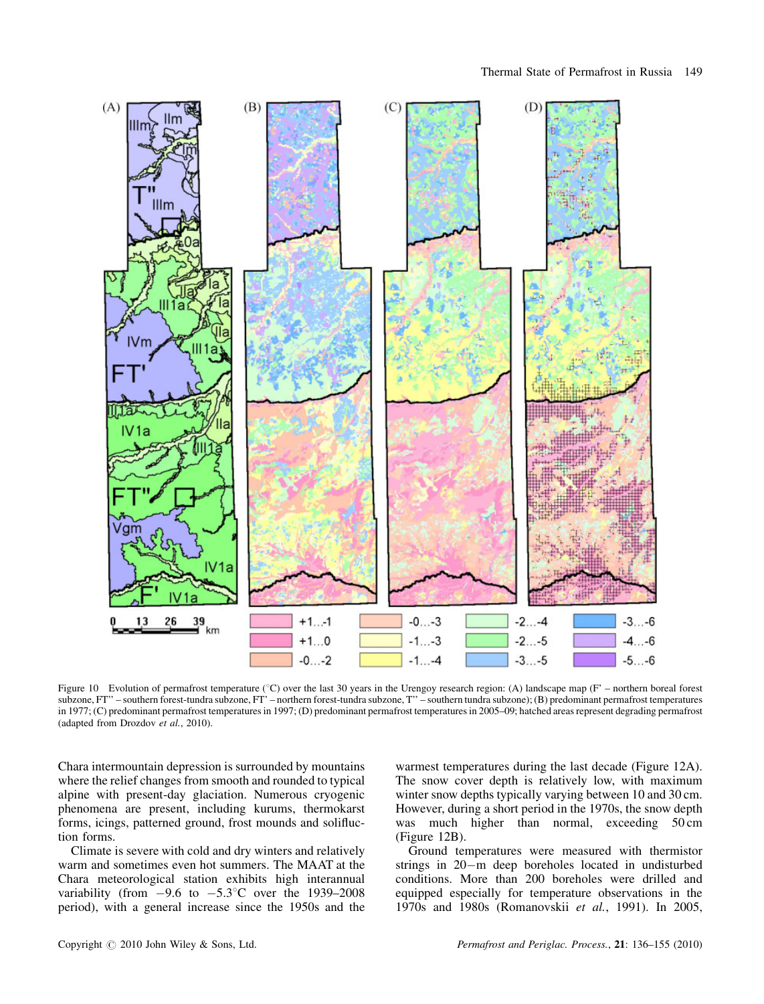

Figure 10 Evolution of permafrost temperature (°C) over the last 30 years in the Urengoy research region: (A) landscape map (F' – northern boreal forest subzone, FT'' – southern forest-tundra subzone, FT' – northern forest-tundra subzone, T'' – southern tundra subzone); (B) predominant permafrost temperatures in 1977; (C) predominant permafrost temperatures in 1997; (D) predominant permafrost temperatures in 2005–09; hatched areas represent degrading permafrost (adapted from Drozdov et al., 2010).

Chara intermountain depression is surrounded by mountains where the relief changes from smooth and rounded to typical alpine with present-day glaciation. Numerous cryogenic phenomena are present, including kurums, thermokarst forms, icings, patterned ground, frost mounds and solifluction forms.

Climate is severe with cold and dry winters and relatively warm and sometimes even hot summers. The MAAT at the Chara meteorological station exhibits high interannual variability (from  $-9.6$  to  $-5.3^{\circ}$ C over the 1939–2008 period), with a general increase since the 1950s and the

warmest temperatures during the last decade (Figure 12A). The snow cover depth is relatively low, with maximum winter snow depths typically varying between 10 and 30 cm. However, during a short period in the 1970s, the snow depth was much higher than normal, exceeding 50 cm (Figure 12B).

Ground temperatures were measured with thermistor strings in  $20 - m$  deep boreholes located in undisturbed conditions. More than 200 boreholes were drilled and equipped especially for temperature observations in the 1970s and 1980s (Romanovskii et al., 1991). In 2005,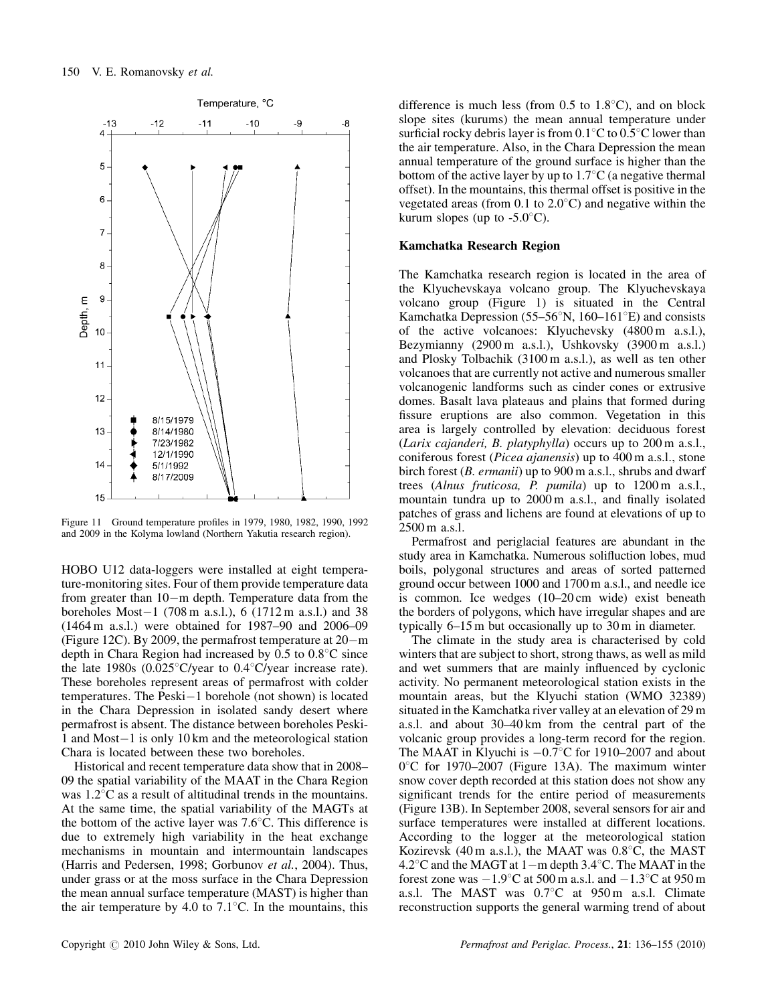

Figure 11 Ground temperature profiles in 1979, 1980, 1982, 1990, 1992 and 2009 in the Kolyma lowland (Northern Yakutia research region).

HOBO U12 data-loggers were installed at eight temperature-monitoring sites. Four of them provide temperature data from greater than  $10-m$  depth. Temperature data from the boreholes Most $-1$  (708 m a.s.l.), 6 (1712 m a.s.l.) and 38 (1464 m a.s.l.) were obtained for 1987–90 and 2006–09 (Figure 12C). By 2009, the permafrost temperature at  $20 - m$ depth in Chara Region had increased by  $0.5$  to  $0.8^{\circ}$ C since the late 1980s (0.025 $\degree$ C/year to 0.4 $\degree$ C/year increase rate). These boreholes represent areas of permafrost with colder temperatures. The Peski $-1$  borehole (not shown) is located in the Chara Depression in isolated sandy desert where permafrost is absent. The distance between boreholes Peski-1 and Most $-1$  is only 10 km and the meteorological station Chara is located between these two boreholes.

Historical and recent temperature data show that in 2008– 09 the spatial variability of the MAAT in the Chara Region was  $1.2^{\circ}$ C as a result of altitudinal trends in the mountains. At the same time, the spatial variability of the MAGTs at the bottom of the active layer was  $7.6^{\circ}$ C. This difference is due to extremely high variability in the heat exchange mechanisms in mountain and intermountain landscapes (Harris and Pedersen, 1998; Gorbunov et al., 2004). Thus, under grass or at the moss surface in the Chara Depression the mean annual surface temperature (MAST) is higher than the air temperature by 4.0 to 7.1 $^{\circ}$ C. In the mountains, this

difference is much less (from  $0.5$  to  $1.8^{\circ}$ C), and on block slope sites (kurums) the mean annual temperature under surficial rocky debris layer is from  $0.1^{\circ}$ C to  $0.5^{\circ}$ C lower than the air temperature. Also, in the Chara Depression the mean annual temperature of the ground surface is higher than the bottom of the active layer by up to  $1.7\degree$ C (a negative thermal offset). In the mountains, this thermal offset is positive in the vegetated areas (from  $0.1$  to  $2.0^{\circ}$ C) and negative within the kurum slopes (up to  $-5.0^{\circ}$ C).

#### Kamchatka Research Region

The Kamchatka research region is located in the area of the Klyuchevskaya volcano group. The Klyuchevskaya volcano group (Figure 1) is situated in the Central Kamchatka Depression (55–56 $\mathrm{N}$ , 160–161 $\mathrm{E}$ ) and consists of the active volcanoes: Klyuchevsky (4800 m a.s.l.), Bezymianny (2900 m a.s.l.), Ushkovsky (3900 m a.s.l.) and Plosky Tolbachik (3100 m a.s.l.), as well as ten other volcanoes that are currently not active and numerous smaller volcanogenic landforms such as cinder cones or extrusive domes. Basalt lava plateaus and plains that formed during fissure eruptions are also common. Vegetation in this area is largely controlled by elevation: deciduous forest (Larix cajanderi, B. platyphylla) occurs up to 200 m a.s.l., coniferous forest (Picea ajanensis) up to 400 m a.s.l., stone birch forest (*B. ermanii*) up to 900 m a.s.l., shrubs and dwarf trees (Alnus fruticosa, P. pumila) up to 1200 m a.s.l., mountain tundra up to 2000 m a.s.l., and finally isolated patches of grass and lichens are found at elevations of up to 2500 m a.s.l.

Permafrost and periglacial features are abundant in the study area in Kamchatka. Numerous solifluction lobes, mud boils, polygonal structures and areas of sorted patterned ground occur between 1000 and 1700 m a.s.l., and needle ice is common. Ice wedges (10–20 cm wide) exist beneath the borders of polygons, which have irregular shapes and are typically 6–15 m but occasionally up to 30 m in diameter.

The climate in the study area is characterised by cold winters that are subject to short, strong thaws, as well as mild and wet summers that are mainly influenced by cyclonic activity. No permanent meteorological station exists in the mountain areas, but the Klyuchi station (WMO 32389) situated in the Kamchatka river valley at an elevation of 29 m a.s.l. and about 30–40 km from the central part of the volcanic group provides a long-term record for the region. The MAAT in Klyuchi is  $-0.7^{\circ}$ C for 1910–2007 and about  $0^{\circ}$ C for 1970–2007 (Figure 13A). The maximum winter snow cover depth recorded at this station does not show any significant trends for the entire period of measurements (Figure 13B). In September 2008, several sensors for air and surface temperatures were installed at different locations. According to the logger at the meteorological station Kozirevsk (40 m a.s.l.), the MAAT was  $0.8^{\circ}$ C, the MAST 4.2 $\degree$ C and the MAGT at 1-m depth 3.4 $\degree$ C. The MAAT in the forest zone was  $-1.9^{\circ}$ C at 500 m a.s.l. and  $-1.3^{\circ}$ C at 950 m a.s.l. The MAST was  $0.7^{\circ}$ C at  $950 \text{ m}$  a.s.l. Climate reconstruction supports the general warming trend of about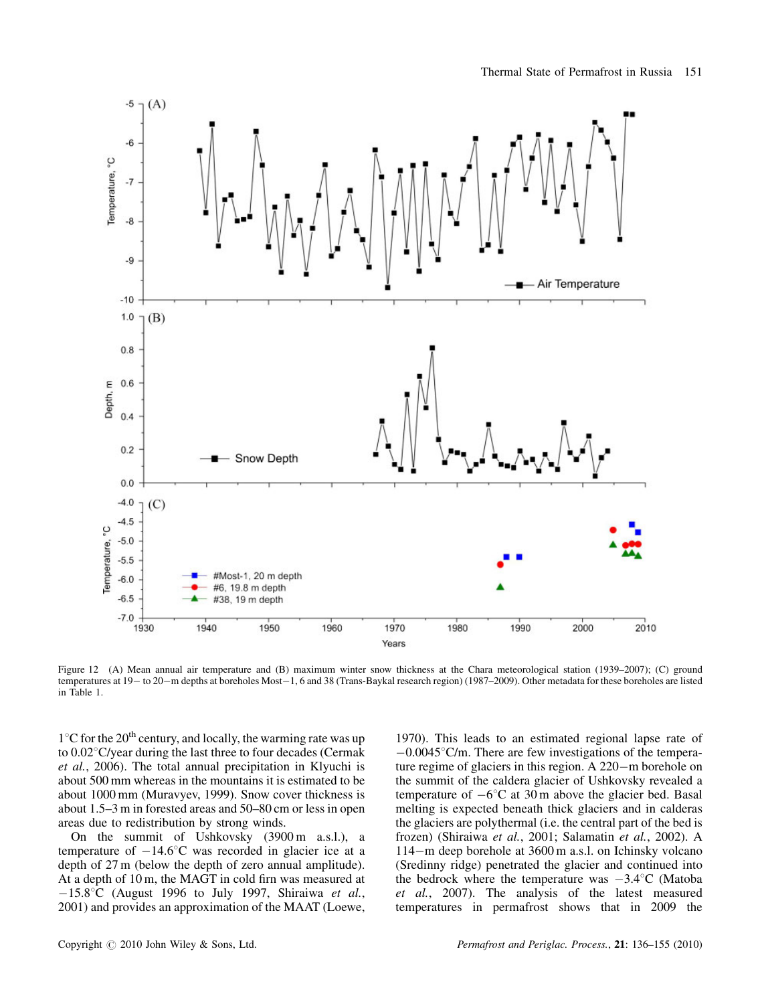

Figure 12 (A) Mean annual air temperature and (B) maximum winter snow thickness at the Chara meteorological station (1939–2007); (C) ground temperatures at 19 - to 20 - m depths at boreholes Most - 1, 6 and 38 (Trans-Baykal research region) (1987-2009). Other metadata for these boreholes are listed in Table 1.

 $1^{\circ}$ C for the 20<sup>th</sup> century, and locally, the warming rate was up to  $0.02^{\circ}$ C/year during the last three to four decades (Cermak et al., 2006). The total annual precipitation in Klyuchi is about 500 mm whereas in the mountains it is estimated to be about 1000 mm (Muravyev, 1999). Snow cover thickness is about 1.5–3 m in forested areas and 50–80 cm or less in open areas due to redistribution by strong winds.

On the summit of Ushkovsky (3900 m a.s.l.), a temperature of  $-14.6^{\circ}$ C was recorded in glacier ice at a depth of 27 m (below the depth of zero annual amplitude). At a depth of 10 m, the MAGT in cold firn was measured at  $-15.8$ °C (August 1996 to July 1997, Shiraiwa et al., 2001) and provides an approximation of the MAAT (Loewe,

1970). This leads to an estimated regional lapse rate of  $-0.0045^{\circ}$ C/m. There are few investigations of the temperature regime of glaciers in this region. A  $220 - m$  borehole on the summit of the caldera glacier of Ushkovsky revealed a temperature of  $-6^{\circ}$ C at 30 m above the glacier bed. Basal melting is expected beneath thick glaciers and in calderas the glaciers are polythermal (i.e. the central part of the bed is frozen) (Shiraiwa et al., 2001; Salamatin et al., 2002). A 114-m deep borehole at 3600 m a.s.l. on Ichinsky volcano (Sredinny ridge) penetrated the glacier and continued into the bedrock where the temperature was  $-3.4^{\circ}$ C (Matoba et al., 2007). The analysis of the latest measured temperatures in permafrost shows that in 2009 the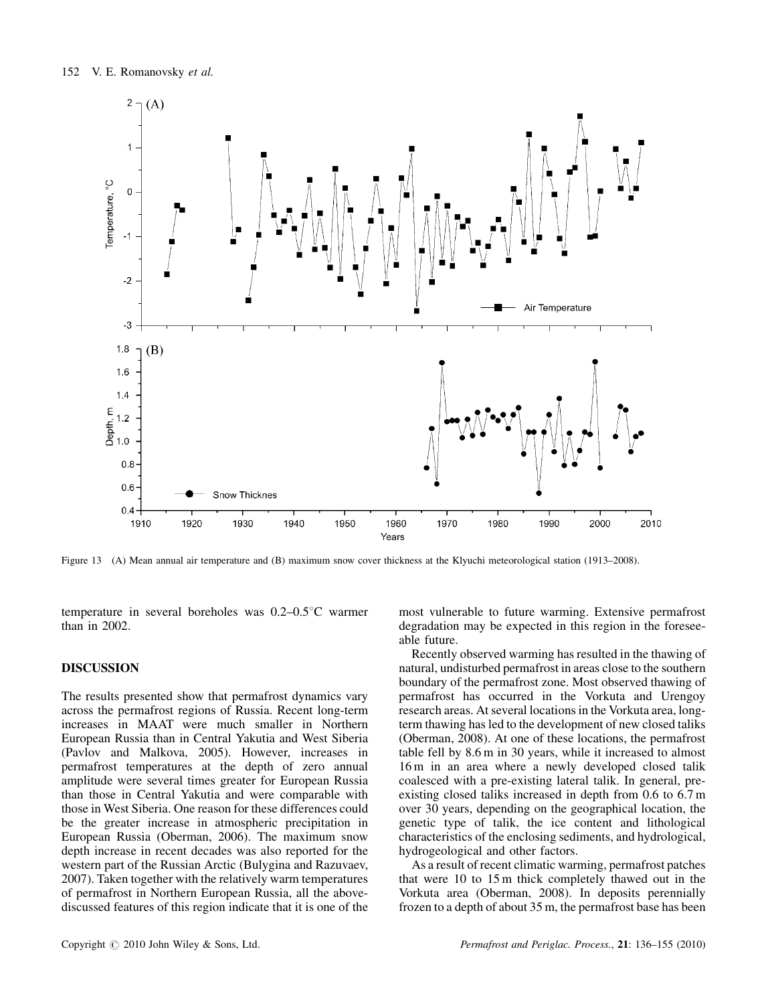

Figure 13 (A) Mean annual air temperature and (B) maximum snow cover thickness at the Klyuchi meteorological station (1913–2008).

temperature in several boreholes was  $0.2{\text -}0.5^{\circ}$ C warmer than in 2002.

### **DISCUSSION**

The results presented show that permafrost dynamics vary across the permafrost regions of Russia. Recent long-term increases in MAAT were much smaller in Northern European Russia than in Central Yakutia and West Siberia (Pavlov and Malkova, 2005). However, increases in permafrost temperatures at the depth of zero annual amplitude were several times greater for European Russia than those in Central Yakutia and were comparable with those in West Siberia. One reason for these differences could be the greater increase in atmospheric precipitation in European Russia (Oberman, 2006). The maximum snow depth increase in recent decades was also reported for the western part of the Russian Arctic (Bulygina and Razuvaev, 2007). Taken together with the relatively warm temperatures of permafrost in Northern European Russia, all the abovediscussed features of this region indicate that it is one of the

most vulnerable to future warming. Extensive permafrost degradation may be expected in this region in the foreseeable future.

Recently observed warming has resulted in the thawing of natural, undisturbed permafrost in areas close to the southern boundary of the permafrost zone. Most observed thawing of permafrost has occurred in the Vorkuta and Urengoy research areas. At several locations in the Vorkuta area, longterm thawing has led to the development of new closed taliks (Oberman, 2008). At one of these locations, the permafrost table fell by 8.6 m in 30 years, while it increased to almost 16 m in an area where a newly developed closed talik coalesced with a pre-existing lateral talik. In general, preexisting closed taliks increased in depth from 0.6 to 6.7 m over 30 years, depending on the geographical location, the genetic type of talik, the ice content and lithological characteristics of the enclosing sediments, and hydrological, hydrogeological and other factors.

As a result of recent climatic warming, permafrost patches that were 10 to 15 m thick completely thawed out in the Vorkuta area (Oberman, 2008). In deposits perennially frozen to a depth of about 35 m, the permafrost base has been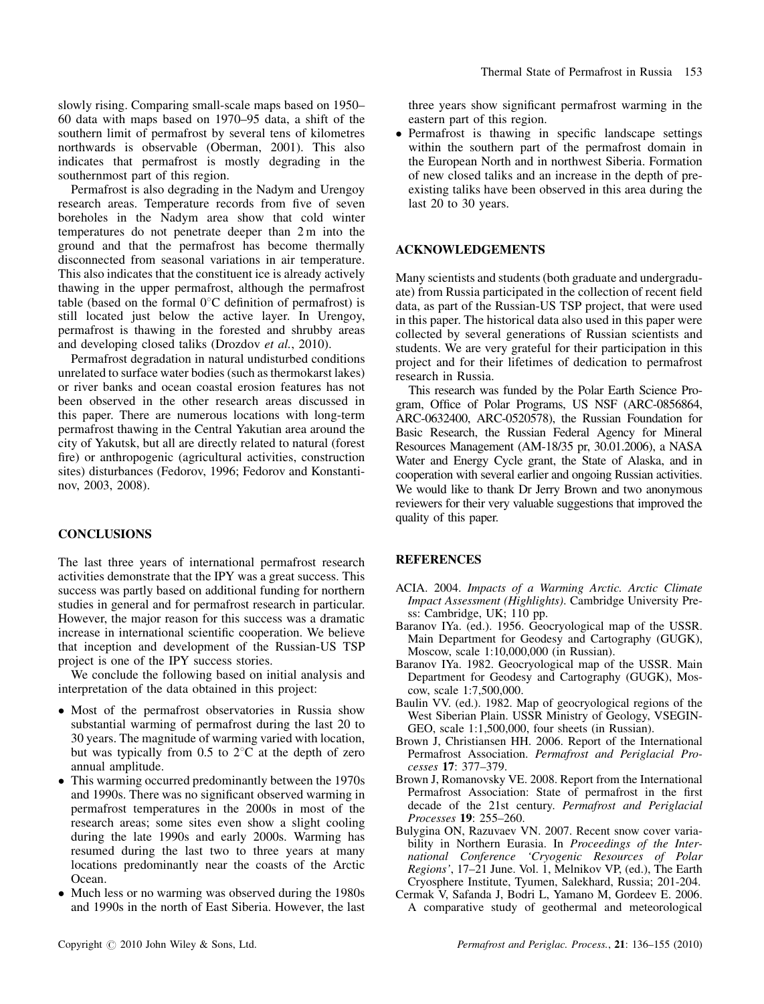slowly rising. Comparing small-scale maps based on 1950– 60 data with maps based on 1970–95 data, a shift of the southern limit of permafrost by several tens of kilometres northwards is observable (Oberman, 2001). This also indicates that permafrost is mostly degrading in the southernmost part of this region.

Permafrost is also degrading in the Nadym and Urengoy research areas. Temperature records from five of seven boreholes in the Nadym area show that cold winter temperatures do not penetrate deeper than 2 m into the ground and that the permafrost has become thermally disconnected from seasonal variations in air temperature. This also indicates that the constituent ice is already actively thawing in the upper permafrost, although the permafrost table (based on the formal  $0^{\circ}$ C definition of permafrost) is still located just below the active layer. In Urengoy, permafrost is thawing in the forested and shrubby areas and developing closed taliks (Drozdov et al., 2010).

Permafrost degradation in natural undisturbed conditions unrelated to surface water bodies (such as thermokarst lakes) or river banks and ocean coastal erosion features has not been observed in the other research areas discussed in this paper. There are numerous locations with long-term permafrost thawing in the Central Yakutian area around the city of Yakutsk, but all are directly related to natural (forest fire) or anthropogenic (agricultural activities, construction sites) disturbances (Fedorov, 1996; Fedorov and Konstantinov, 2003, 2008).

### **CONCLUSIONS**

The last three years of international permafrost research activities demonstrate that the IPY was a great success. This success was partly based on additional funding for northern studies in general and for permafrost research in particular. However, the major reason for this success was a dramatic increase in international scientific cooperation. We believe that inception and development of the Russian-US TSP project is one of the IPY success stories.

We conclude the following based on initial analysis and interpretation of the data obtained in this project:

- Most of the permafrost observatories in Russia show substantial warming of permafrost during the last 20 to 30 years. The magnitude of warming varied with location, but was typically from  $0.5$  to  $2^{\circ}$ C at the depth of zero annual amplitude.
- $\bullet$  This warming occurred predominantly between the 1970s and 1990s. There was no significant observed warming in permafrost temperatures in the 2000s in most of the research areas; some sites even show a slight cooling during the late 1990s and early 2000s. Warming has resumed during the last two to three years at many locations predominantly near the coasts of the Arctic Ocean.
- $\bullet$  Much less or no warming was observed during the 1980s and 1990s in the north of East Siberia. However, the last

three years show significant permafrost warming in the eastern part of this region.

- Permafrost is thawing in specific landscape settings within the southern part of the permafrost domain in the European North and in northwest Siberia. Formation of new closed taliks and an increase in the depth of preexisting taliks have been observed in this area during the last 20 to 30 years.

#### ACKNOWLEDGEMENTS

Many scientists and students (both graduate and undergraduate) from Russia participated in the collection of recent field data, as part of the Russian-US TSP project, that were used in this paper. The historical data also used in this paper were collected by several generations of Russian scientists and students. We are very grateful for their participation in this project and for their lifetimes of dedication to permafrost research in Russia.

This research was funded by the Polar Earth Science Program, Office of Polar Programs, US NSF (ARC-0856864, ARC-0632400, ARC-0520578), the Russian Foundation for Basic Research, the Russian Federal Agency for Mineral Resources Management (AM-18/35 pr, 30.01.2006), a NASA Water and Energy Cycle grant, the State of Alaska, and in cooperation with several earlier and ongoing Russian activities. We would like to thank Dr Jerry Brown and two anonymous reviewers for their very valuable suggestions that improved the quality of this paper.

#### REFERENCES

- ACIA. 2004. Impacts of a Warming Arctic. Arctic Climate Impact Assessment (Highlights). Cambridge University Press: Cambridge, UK; 110 pp.
- Baranov IYa. (ed.). 1956. Geocryological map of the USSR. Main Department for Geodesy and Cartography (GUGK), Moscow, scale 1:10,000,000 (in Russian).
- Baranov IYa. 1982. Geocryological map of the USSR. Main Department for Geodesy and Cartography (GUGK), Moscow, scale 1:7,500,000.
- Baulin VV. (ed.). 1982. Map of geocryological regions of the West Siberian Plain. USSR Ministry of Geology, VSEGIN-GEO, scale 1:1,500,000, four sheets (in Russian).
- Brown J, Christiansen HH. 2006. Report of the International Permafrost Association. Permafrost and Periglacial Processes 17: 377–379.
- Brown J, Romanovsky VE. 2008. Report from the International Permafrost Association: State of permafrost in the first decade of the 21st century. Permafrost and Periglacial Processes 19: 255–260.
- Bulygina ON, Razuvaev VN. 2007. Recent snow cover variability in Northern Eurasia. In Proceedings of the International Conference 'Cryogenic Resources of Polar Regions', 17–21 June. Vol. 1, Melnikov VP, (ed.), The Earth Cryosphere Institute, Tyumen, Salekhard, Russia; 201-204.
- Cermak V, Safanda J, Bodri L, Yamano M, Gordeev E. 2006. A comparative study of geothermal and meteorological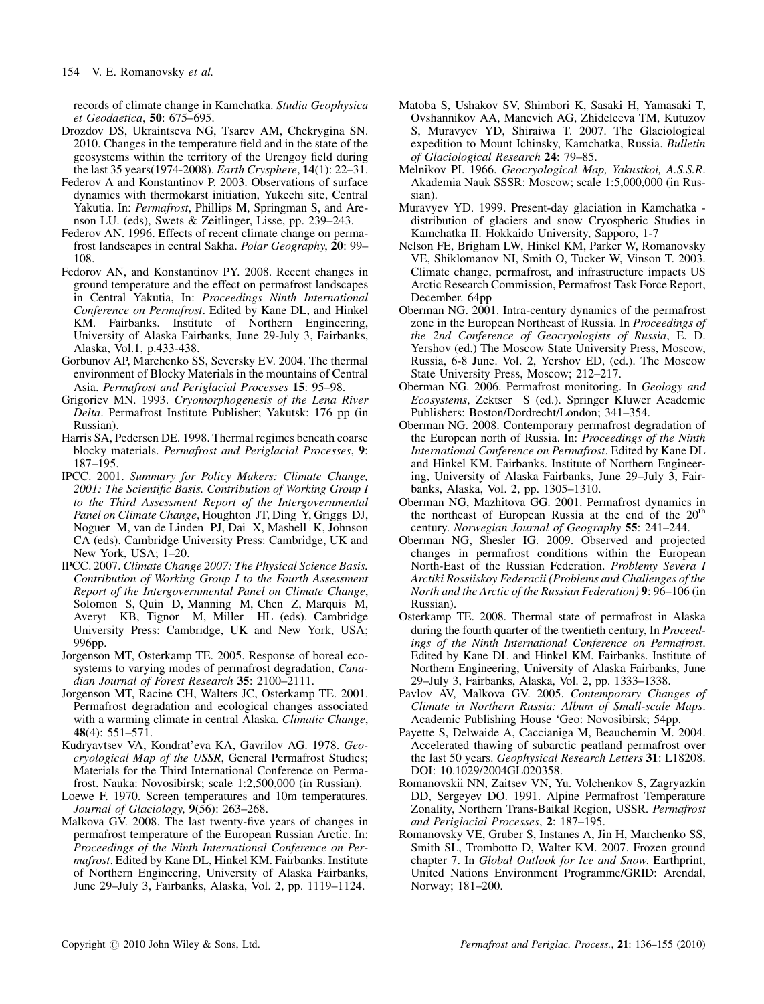records of climate change in Kamchatka. Studia Geophysica et Geodaetica, 50: 675–695.

- Drozdov DS, Ukraintseva NG, Tsarev AM, Chekrygina SN. 2010. Changes in the temperature field and in the state of the geosystems within the territory of the Urengoy field during the last 35 years(1974-2008). Earth Crysphere, 14(1): 22–31.
- Federov A and Konstantinov P. 2003. Observations of surface dynamics with thermokarst initiation, Yukechi site, Central Yakutia. In: Permafrost, Phillips M, Springman S, and Arenson LU. (eds), Swets & Zeitlinger, Lisse, pp. 239–243.
- Federov AN. 1996. Effects of recent climate change on permafrost landscapes in central Sakha. Polar Geography, 20: 99– 108.
- Fedorov AN, and Konstantinov PY. 2008. Recent changes in ground temperature and the effect on permafrost landscapes in Central Yakutia, In: Proceedings Ninth International Conference on Permafrost. Edited by Kane DL, and Hinkel KM. Fairbanks. Institute of Northern Engineering, University of Alaska Fairbanks, June 29-July 3, Fairbanks, Alaska, Vol.1, p.433-438.
- Gorbunov AP, Marchenko SS, Seversky EV. 2004. The thermal environment of Blocky Materials in the mountains of Central Asia. Permafrost and Periglacial Processes 15: 95–98.
- Grigoriev MN. 1993. Cryomorphogenesis of the Lena River Delta. Permafrost Institute Publisher; Yakutsk: 176 pp (in Russian).
- Harris SA, Pedersen DE. 1998. Thermal regimes beneath coarse blocky materials. Permafrost and Periglacial Processes, 9: 187–195.
- IPCC. 2001. Summary for Policy Makers: Climate Change, 2001: The Scientific Basis. Contribution of Working Group I to the Third Assessment Report of the Intergovernmental Panel on Climate Change, Houghton JT, Ding Y, Griggs DJ, Noguer M, van de Linden PJ, Dai X, Mashell K, Johnson CA (eds). Cambridge University Press: Cambridge, UK and New York, USA; 1–20.
- IPCC. 2007. Climate Change 2007: The Physical Science Basis. Contribution of Working Group I to the Fourth Assessment Report of the Intergovernmental Panel on Climate Change, Solomon S, Quin D, Manning M, Chen Z, Marquis M, Averyt KB, Tignor M, Miller HL (eds). Cambridge University Press: Cambridge, UK and New York, USA; 996pp.
- Jorgenson MT, Osterkamp TE. 2005. Response of boreal ecosystems to varying modes of permafrost degradation, Canadian Journal of Forest Research 35: 2100–2111.
- Jorgenson MT, Racine CH, Walters JC, Osterkamp TE. 2001. Permafrost degradation and ecological changes associated with a warming climate in central Alaska. Climatic Change, 48(4): 551–571.
- Kudryavtsev VA, Kondrat'eva KA, Gavrilov AG. 1978. Geocryological Map of the USSR, General Permafrost Studies; Materials for the Third International Conference on Permafrost. Nauka: Novosibirsk; scale 1:2,500,000 (in Russian).
- Loewe F. 1970. Screen temperatures and 10m temperatures. Journal of Glaciology, 9(56): 263–268.
- Malkova GV. 2008. The last twenty-five years of changes in permafrost temperature of the European Russian Arctic. In: Proceedings of the Ninth International Conference on Permafrost. Edited by Kane DL, Hinkel KM. Fairbanks. Institute of Northern Engineering, University of Alaska Fairbanks, June 29–July 3, Fairbanks, Alaska, Vol. 2, pp. 1119–1124.
- Matoba S, Ushakov SV, Shimbori K, Sasaki H, Yamasaki T, Ovshannikov AA, Manevich AG, Zhideleeva TM, Kutuzov S, Muravyev YD, Shiraiwa T. 2007. The Glaciological expedition to Mount Ichinsky, Kamchatka, Russia. Bulletin of Glaciological Research 24: 79–85.
- Melnikov PI. 1966. Geocryological Map, Yakustkoi, A.S.S.R. Akademia Nauk SSSR: Moscow; scale 1:5,000,000 (in Russian).
- Muravyev YD. 1999. Present-day glaciation in Kamchatka distribution of glaciers and snow Cryospheric Studies in Kamchatka II. Hokkaido University, Sapporo, 1-7
- Nelson FE, Brigham LW, Hinkel KM, Parker W, Romanovsky VE, Shiklomanov NI, Smith O, Tucker W, Vinson T. 2003. Climate change, permafrost, and infrastructure impacts US Arctic Research Commission, Permafrost Task Force Report, December. 64pp
- Oberman NG. 2001. Intra-century dynamics of the permafrost zone in the European Northeast of Russia. In Proceedings of the 2nd Conference of Geocryologists of Russia, E. D. Yershov (ed.) The Moscow State University Press, Moscow, Russia, 6-8 June. Vol. 2, Yershov ED, (ed.). The Moscow State University Press, Moscow; 212–217.
- Oberman NG. 2006. Permafrost monitoring. In Geology and Ecosystems, Zektser S (ed.). Springer Kluwer Academic Publishers: Boston/Dordrecht/London; 341–354.
- Oberman NG. 2008. Contemporary permafrost degradation of the European north of Russia. In: Proceedings of the Ninth International Conference on Permafrost. Edited by Kane DL and Hinkel KM. Fairbanks. Institute of Northern Engineering, University of Alaska Fairbanks, June 29–July 3, Fairbanks, Alaska, Vol. 2, pp. 1305–1310.
- Oberman NG, Mazhitova GG. 2001. Permafrost dynamics in the northeast of European Russia at the end of the 20<sup>th</sup> century. Norwegian Journal of Geography 55: 241–244.
- Oberman NG, Shesler IG. 2009. Observed and projected changes in permafrost conditions within the European North-East of the Russian Federation. Problemy Severa I Arctiki Rossiiskoy Federacii (Problems and Challenges of the North and the Arctic of the Russian Federation) 9: 96–106 (in Russian).
- Osterkamp TE. 2008. Thermal state of permafrost in Alaska during the fourth quarter of the twentieth century, In Proceedings of the Ninth International Conference on Permafrost. Edited by Kane DL and Hinkel KM. Fairbanks. Institute of Northern Engineering, University of Alaska Fairbanks, June 29–July 3, Fairbanks, Alaska, Vol. 2, pp. 1333–1338.
- Pavlov AV, Malkova GV. 2005. Contemporary Changes of Climate in Northern Russia: Album of Small-scale Maps. Academic Publishing House 'Geo: Novosibirsk; 54pp.
- Payette S, Delwaide A, Caccianiga M, Beauchemin M. 2004. Accelerated thawing of subarctic peatland permafrost over the last 50 years. Geophysical Research Letters 31: L18208. DOI: 10.1029/2004GL020358.
- Romanovskii NN, Zaitsev VN, Yu. Volchenkov S, Zagryazkin DD, Sergeyev DO. 1991. Alpine Permafrost Temperature Zonality, Northern Trans-Baikal Region, USSR. Permafrost and Periglacial Processes, 2: 187–195.
- Romanovsky VE, Gruber S, Instanes A, Jin H, Marchenko SS, Smith SL, Trombotto D, Walter KM. 2007. Frozen ground chapter 7. In Global Outlook for Ice and Snow. Earthprint, United Nations Environment Programme/GRID: Arendal, Norway; 181–200.